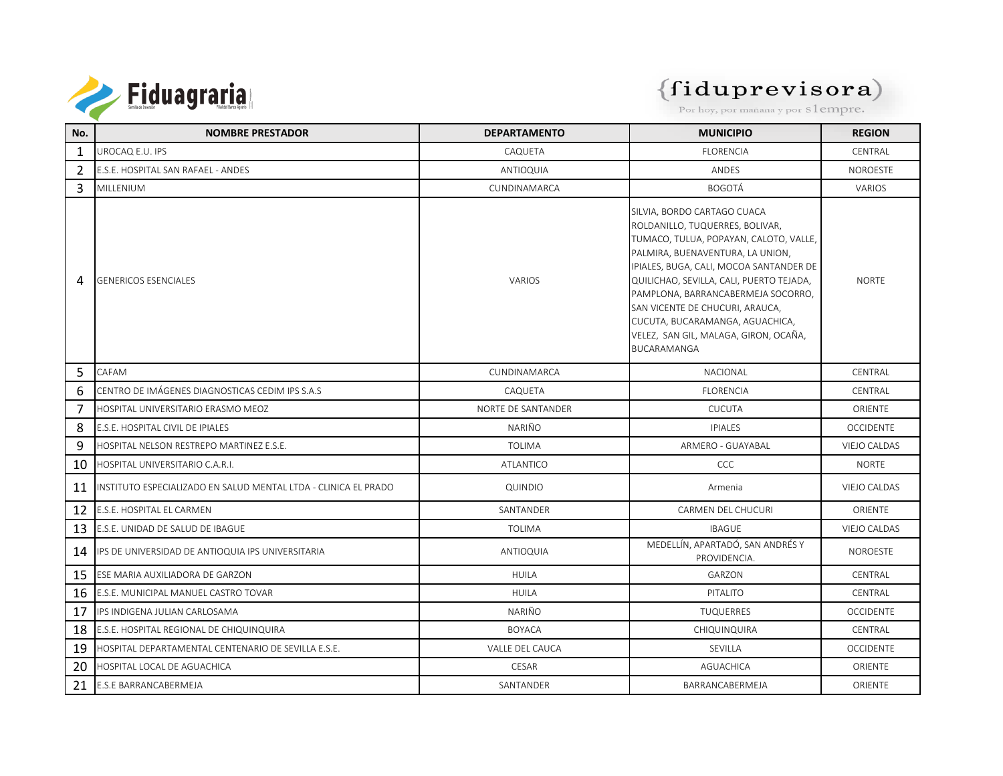

| No.            | <b>NOMBRE PRESTADOR</b>                                         | <b>DEPARTAMENTO</b> | <b>MUNICIPIO</b>                                                                                                                                                                                                                                                                                                                                                                                               | <b>REGION</b>       |
|----------------|-----------------------------------------------------------------|---------------------|----------------------------------------------------------------------------------------------------------------------------------------------------------------------------------------------------------------------------------------------------------------------------------------------------------------------------------------------------------------------------------------------------------------|---------------------|
| 1              | UROCAQ E.U. IPS                                                 | CAQUETA             | <b>FLORENCIA</b>                                                                                                                                                                                                                                                                                                                                                                                               | CENTRAL             |
| 2              | E.S.E. HOSPITAL SAN RAFAEL - ANDES                              | <b>ANTIOQUIA</b>    | ANDES                                                                                                                                                                                                                                                                                                                                                                                                          | <b>NOROESTE</b>     |
| 3              | MILLENIUM                                                       | CUNDINAMARCA        | <b>BOGOTÁ</b>                                                                                                                                                                                                                                                                                                                                                                                                  | VARIOS              |
| 4              | <b>GENERICOS ESENCIALES</b>                                     | VARIOS              | SILVIA, BORDO CARTAGO CUACA<br>ROLDANILLO, TUQUERRES, BOLIVAR,<br>TUMACO, TULUA, POPAYAN, CALOTO, VALLE,<br>PALMIRA, BUENAVENTURA, LA UNION,<br>IPIALES, BUGA, CALI, MOCOA SANTANDER DE<br>QUILICHAO, SEVILLA, CALI, PUERTO TEJADA,<br>PAMPLONA, BARRANCABERMEJA SOCORRO,<br>SAN VICENTE DE CHUCURI, ARAUCA,<br>CUCUTA, BUCARAMANGA, AGUACHICA,<br>VELEZ, SAN GIL, MALAGA, GIRON, OCAÑA,<br><b>BUCARAMANGA</b> | <b>NORTE</b>        |
| 5              | CAFAM                                                           | CUNDINAMARCA        | <b>NACIONAL</b>                                                                                                                                                                                                                                                                                                                                                                                                | CENTRAL             |
| 6              | CENTRO DE IMÁGENES DIAGNOSTICAS CEDIM IPS S.A.S                 | CAQUETA             | <b>FLORENCIA</b>                                                                                                                                                                                                                                                                                                                                                                                               | CENTRAL             |
| $\overline{7}$ | HOSPITAL UNIVERSITARIO ERASMO MEOZ                              | NORTE DE SANTANDER  | <b>CUCUTA</b>                                                                                                                                                                                                                                                                                                                                                                                                  | ORIENTE             |
| 8              | E.S.E. HOSPITAL CIVIL DE IPIALES                                | NARIÑO              | <b>IPIALES</b>                                                                                                                                                                                                                                                                                                                                                                                                 | <b>OCCIDENTE</b>    |
| 9              | HOSPITAL NELSON RESTREPO MARTINEZ E.S.E.                        | <b>TOLIMA</b>       | ARMERO - GUAYABAL                                                                                                                                                                                                                                                                                                                                                                                              | <b>VIEJO CALDAS</b> |
| 10             | HOSPITAL UNIVERSITARIO C.A.R.I.                                 | ATLANTICO           | CCC                                                                                                                                                                                                                                                                                                                                                                                                            | <b>NORTE</b>        |
| 11             | INSTITUTO ESPECIALIZADO EN SALUD MENTAL LTDA - CLINICA EL PRADO | QUINDIO             | Armenia                                                                                                                                                                                                                                                                                                                                                                                                        | VIEJO CALDAS        |
| 12             | <b>E.S.E. HOSPITAL EL CARMEN</b>                                | SANTANDER           | <b>CARMEN DEL CHUCURI</b>                                                                                                                                                                                                                                                                                                                                                                                      | <b>ORIENTE</b>      |
| 13             | E.S.E. UNIDAD DE SALUD DE IBAGUE                                | <b>TOI IMA</b>      | <b>IBAGUF</b>                                                                                                                                                                                                                                                                                                                                                                                                  | <b>VIEJO CALDAS</b> |
| 14             | IPS DE UNIVERSIDAD DE ANTIOQUIA IPS UNIVERSITARIA               | ANTIOQUIA           | MEDELLÍN, APARTADÓ, SAN ANDRÉS Y<br>PROVIDENCIA.                                                                                                                                                                                                                                                                                                                                                               | NOROESTE            |
| 15             | ESE MARIA AUXILIADORA DE GARZON                                 | <b>HUILA</b>        | GARZON                                                                                                                                                                                                                                                                                                                                                                                                         | CENTRAL             |
| 16             | E.S.E. MUNICIPAL MANUEL CASTRO TOVAR                            | <b>HUILA</b>        | PITALITO                                                                                                                                                                                                                                                                                                                                                                                                       | CENTRAL             |
| 17             | IPS INDIGENA JULIAN CARLOSAMA                                   | NARIÑO              | <b>TUQUERRES</b>                                                                                                                                                                                                                                                                                                                                                                                               | <b>OCCIDENTE</b>    |
| 18             | E.S.E. HOSPITAL REGIONAL DE CHIQUINQUIRA                        | <b>BOYACA</b>       | CHIQUINQUIRA                                                                                                                                                                                                                                                                                                                                                                                                   | CENTRAL             |
| 19             | HOSPITAL DEPARTAMENTAL CENTENARIO DE SEVILLA E.S.E.             | VALLE DEL CAUCA     | SEVILLA                                                                                                                                                                                                                                                                                                                                                                                                        | <b>OCCIDENTE</b>    |
| 20             | HOSPITAL LOCAL DE AGUACHICA                                     | CESAR               | <b>AGUACHICA</b>                                                                                                                                                                                                                                                                                                                                                                                               | <b>ORIENTE</b>      |
| 21             | <b>E.S.E BARRANCABERMEJA</b>                                    | SANTANDER           | <b>BARRANCABERMEJA</b>                                                                                                                                                                                                                                                                                                                                                                                         | ORIENTE             |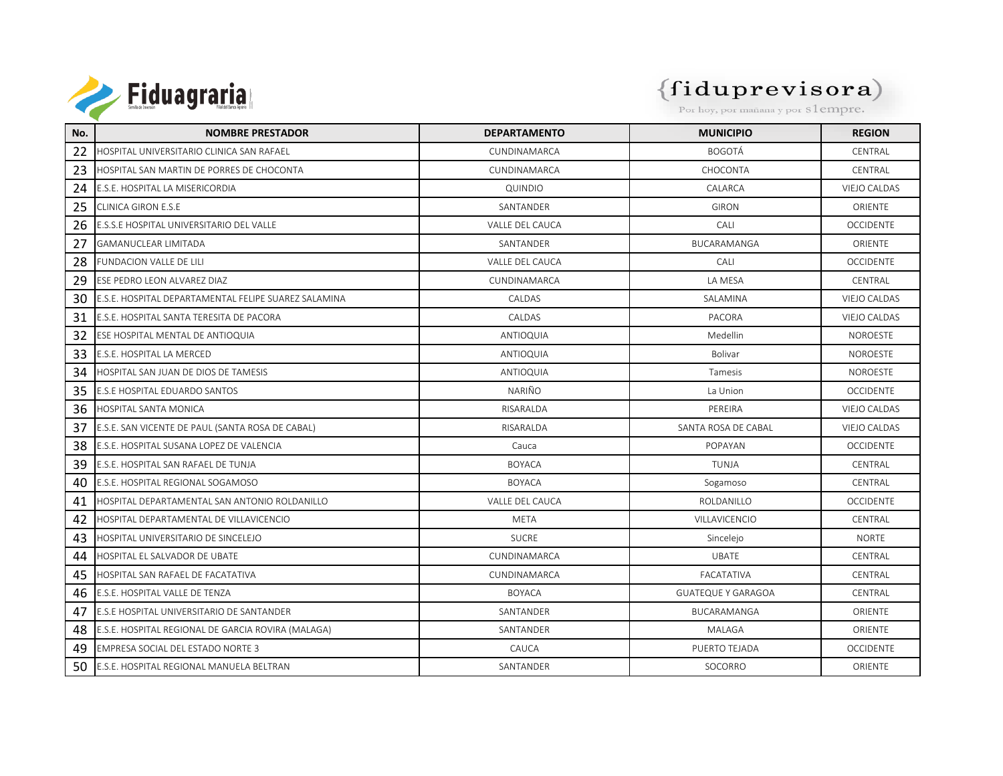

| No. | <b>NOMBRE PRESTADOR</b>                              | <b>DEPARTAMENTO</b>    | <b>MUNICIPIO</b>          | <b>REGION</b>       |
|-----|------------------------------------------------------|------------------------|---------------------------|---------------------|
| 22  | HOSPITAL UNIVERSITARIO CLINICA SAN RAFAEL            | CUNDINAMARCA           | <b>BOGOTÁ</b>             | CENTRAL             |
| 23  | HOSPITAL SAN MARTIN DE PORRES DE CHOCONTA            | CUNDINAMARCA           | CHOCONTA                  | CENTRAL             |
| 24  | E.S.E. HOSPITAL LA MISERICORDIA                      | QUINDIO                | CALARCA                   | <b>VIEJO CALDAS</b> |
| 25  | CLINICA GIRON E.S.E                                  | SANTANDER              | <b>GIRON</b>              | <b>ORIENTE</b>      |
| 26  | E.S.S.E HOSPITAL UNIVERSITARIO DEL VALLE             | <b>VALLE DEL CAUCA</b> | <b>CALL</b>               | <b>OCCIDENTE</b>    |
| 27  | <b>GAMANUCLEAR LIMITADA</b>                          | SANTANDER              | BUCARAMANGA               | <b>ORIENTE</b>      |
| 28  | FUNDACION VALLE DE LILI                              | VALLE DEL CAUCA        | CALI                      | <b>OCCIDENTE</b>    |
| 29  | ESE PEDRO LEON ALVAREZ DIAZ                          | CUNDINAMARCA           | LA MESA                   | CENTRAL             |
| 30  | E.S.E. HOSPITAL DEPARTAMENTAL FELIPE SUAREZ SALAMINA | CALDAS                 | SALAMINA                  | <b>VIEJO CALDAS</b> |
| 31  | E.S.E. HOSPITAL SANTA TERESITA DE PACORA             | CALDAS                 | PACORA                    | <b>VIEJO CALDAS</b> |
| 32  | ESE HOSPITAL MENTAL DE ANTIOQUIA                     | ANTIOQUIA              | Medellin                  | NOROESTE            |
| 33  | E.S.E. HOSPITAL LA MERCED                            | ANTIOQUIA              | Bolivar                   | NOROESTE            |
| 34  | HOSPITAL SAN JUAN DE DIOS DE TAMESIS                 | ANTIOQUIA              | Tamesis                   | NOROESTE            |
| 35  | E.S.E HOSPITAL EDUARDO SANTOS                        | NARIÑO                 | La Union                  | <b>OCCIDENTE</b>    |
| 36  | <b>HOSPITAL SANTA MONICA</b>                         | RISARALDA              | PEREIRA                   | <b>VIEJO CALDAS</b> |
| 37  | E.S.E. SAN VICENTE DE PAUL (SANTA ROSA DE CABAL)     | RISARALDA              | SANTA ROSA DE CABAL       | VIEJO CALDAS        |
| 38  | E.S.E. HOSPITAL SUSANA LOPEZ DE VALENCIA             | Cauca                  | POPAYAN                   | <b>OCCIDENTE</b>    |
| 39  | E.S.E. HOSPITAL SAN RAFAEL DE TUNJA                  | <b>BOYACA</b>          | <b>TUNJA</b>              | CENTRAL             |
| 40  | E.S.E. HOSPITAL REGIONAL SOGAMOSO                    | <b>BOYACA</b>          | Sogamoso                  | CENTRAL             |
| 41  | HOSPITAL DEPARTAMENTAL SAN ANTONIO ROLDANILLO        | VALLE DEL CAUCA        | ROLDANILLO                | <b>OCCIDENTE</b>    |
| 42  | HOSPITAL DEPARTAMENTAL DE VILLAVICENCIO              | <b>META</b>            | VILLAVICENCIO             | CENTRAL             |
| 43  | HOSPITAL UNIVERSITARIO DE SINCELEJO                  | <b>SUCRE</b>           | Sincelejo                 | <b>NORTE</b>        |
| 44  | HOSPITAL EL SALVADOR DE UBATE                        | CUNDINAMARCA           | <b>UBATE</b>              | CENTRAL             |
| 45  | HOSPITAL SAN RAFAEL DE FACATATIVA                    | CUNDINAMARCA           | <b>FACATATIVA</b>         | CENTRAL             |
| 46  | E.S.E. HOSPITAL VALLE DE TENZA                       | <b>BOYACA</b>          | <b>GUATEQUE Y GARAGOA</b> | CENTRAL             |
| 47  | E.S.E HOSPITAL UNIVERSITARIO DE SANTANDER            | SANTANDER              | <b>BUCARAMANGA</b>        | <b>ORIENTE</b>      |
| 48  | E.S.E. HOSPITAL REGIONAL DE GARCIA ROVIRA (MALAGA)   | SANTANDER              | <b>MALAGA</b>             | <b>ORIENTE</b>      |
| 49  | EMPRESA SOCIAL DEL ESTADO NORTE 3                    | CAUCA                  | PUERTO TEJADA             | <b>OCCIDENTE</b>    |
| 50  | E.S.E. HOSPITAL REGIONAL MANUELA BELTRAN             | SANTANDER              | SOCORRO                   | ORIENTE             |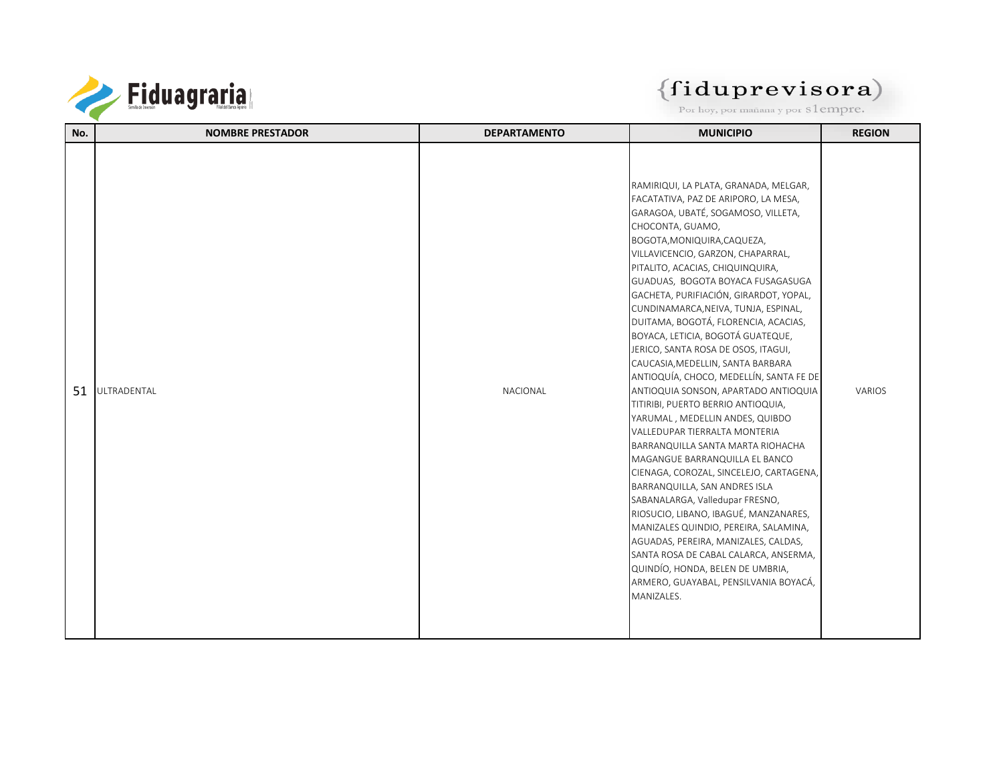

| No. | <b>NOMBRE PRESTADOR</b> | <b>DEPARTAMENTO</b> | <b>MUNICIPIO</b>                                                                                                                                                                                                                                                                                                                                                                                                                                                                                                                                                                                                                                                                                                                                                                                                                                                                                                                                                                                                                                                                                                                                                                 | <b>REGION</b> |
|-----|-------------------------|---------------------|----------------------------------------------------------------------------------------------------------------------------------------------------------------------------------------------------------------------------------------------------------------------------------------------------------------------------------------------------------------------------------------------------------------------------------------------------------------------------------------------------------------------------------------------------------------------------------------------------------------------------------------------------------------------------------------------------------------------------------------------------------------------------------------------------------------------------------------------------------------------------------------------------------------------------------------------------------------------------------------------------------------------------------------------------------------------------------------------------------------------------------------------------------------------------------|---------------|
| 51  | ULTRADENTAL             | NACIONAL            | RAMIRIQUI, LA PLATA, GRANADA, MELGAR,<br>FACATATIVA, PAZ DE ARIPORO, LA MESA,<br>GARAGOA, UBATÉ, SOGAMOSO, VILLETA,<br>CHOCONTA, GUAMO,<br>BOGOTA, MONIQUIRA, CAQUEZA,<br>VILLAVICENCIO, GARZON, CHAPARRAL,<br>PITALITO, ACACIAS, CHIQUINQUIRA,<br>GUADUAS, BOGOTA BOYACA FUSAGASUGA<br>GACHETA, PURIFIACIÓN, GIRARDOT, YOPAL,<br>CUNDINAMARCA, NEIVA, TUNJA, ESPINAL,<br>DUITAMA, BOGOTÁ, FLORENCIA, ACACIAS,<br>BOYACA, LETICIA, BOGOTÁ GUATEQUE,<br>JERICO, SANTA ROSA DE OSOS, ITAGUI,<br>CAUCASIA, MEDELLIN, SANTA BARBARA<br>ANTIOQUÍA, CHOCO, MEDELLÍN, SANTA FE DE<br>ANTIOQUIA SONSON, APARTADO ANTIOQUIA<br>TITIRIBI, PUERTO BERRIO ANTIOQUIA,<br>YARUMAL, MEDELLIN ANDES, QUIBDO<br>VALLEDUPAR TIERRALTA MONTERIA<br>BARRANQUILLA SANTA MARTA RIOHACHA<br>MAGANGUE BARRANQUILLA EL BANCO<br>CIENAGA, COROZAL, SINCELEJO, CARTAGENA,<br>BARRANQUILLA, SAN ANDRES ISLA<br>SABANALARGA, Valledupar FRESNO,<br>RIOSUCIO, LIBANO, IBAGUÉ, MANZANARES,<br>MANIZALES QUINDIO, PEREIRA, SALAMINA,<br>AGUADAS, PEREIRA, MANIZALES, CALDAS,<br>SANTA ROSA DE CABAL CALARCA, ANSERMA,<br>QUINDÍO, HONDA, BELEN DE UMBRIA,<br>ARMERO, GUAYABAL, PENSILVANIA BOYACÁ,<br>MANIZALES. | <b>VARIOS</b> |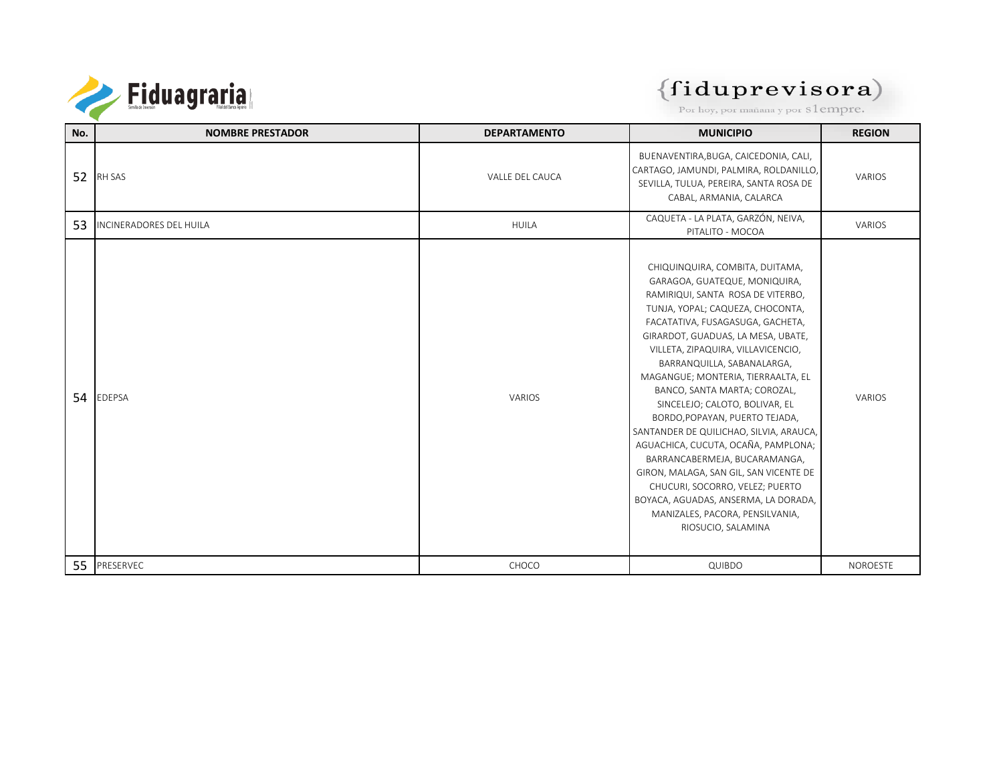

# $\left\{\mathbf{fidup} \mathbf{represent}\ \mathbf{e} \mathbf{visora}\right\}$  Por hoy, por mañana y por s $1$ empre.

| No. | <b>NOMBRE PRESTADOR</b>        | <b>DEPARTAMENTO</b> | <b>MUNICIPIO</b>                                                                                                                                                                                                                                                                                                                                                                                                                                                                                                                                                                                                                                                                                                                   | <b>REGION</b>   |
|-----|--------------------------------|---------------------|------------------------------------------------------------------------------------------------------------------------------------------------------------------------------------------------------------------------------------------------------------------------------------------------------------------------------------------------------------------------------------------------------------------------------------------------------------------------------------------------------------------------------------------------------------------------------------------------------------------------------------------------------------------------------------------------------------------------------------|-----------------|
| 52  | RH SAS                         | VALLE DEL CAUCA     | BUENAVENTIRA, BUGA, CAICEDONIA, CALI,<br>CARTAGO, JAMUNDI, PALMIRA, ROLDANILLO,<br>SEVILLA, TULUA, PEREIRA, SANTA ROSA DE<br>CABAL, ARMANIA, CALARCA                                                                                                                                                                                                                                                                                                                                                                                                                                                                                                                                                                               | VARIOS          |
| 53  | <b>INCINERADORES DEL HUILA</b> | <b>HUILA</b>        | CAQUETA - LA PLATA, GARZÓN, NEIVA,<br>PITALITO - MOCOA                                                                                                                                                                                                                                                                                                                                                                                                                                                                                                                                                                                                                                                                             | VARIOS          |
| 54  | <b>EDEPSA</b>                  | VARIOS              | CHIQUINQUIRA, COMBITA, DUITAMA,<br>GARAGOA, GUATEQUE, MONIQUIRA,<br>RAMIRIQUI, SANTA ROSA DE VITERBO,<br>TUNJA, YOPAL; CAQUEZA, CHOCONTA,<br>FACATATIVA, FUSAGASUGA, GACHETA,<br>GIRARDOT, GUADUAS, LA MESA, UBATE,<br>VILLETA, ZIPAQUIRA, VILLAVICENCIO,<br>BARRANQUILLA, SABANALARGA,<br>MAGANGUE; MONTERIA, TIERRAALTA, EL<br>BANCO, SANTA MARTA; COROZAL,<br>SINCELEJO; CALOTO, BOLIVAR, EL<br>BORDO, POPAYAN, PUERTO TEJADA,<br>SANTANDER DE QUILICHAO, SILVIA, ARAUCA,<br>AGUACHICA, CUCUTA, OCAÑA, PAMPLONA;<br>BARRANCABERMEJA, BUCARAMANGA,<br>GIRON, MALAGA, SAN GIL, SAN VICENTE DE<br>CHUCURI, SOCORRO, VELEZ; PUERTO<br>BOYACA, AGUADAS, ANSERMA, LA DORADA,<br>MANIZALES, PACORA, PENSILVANIA,<br>RIOSUCIO, SALAMINA | <b>VARIOS</b>   |
|     | 55 PRESERVEC                   | CHOCO               | QUIBDO                                                                                                                                                                                                                                                                                                                                                                                                                                                                                                                                                                                                                                                                                                                             | <b>NOROESTE</b> |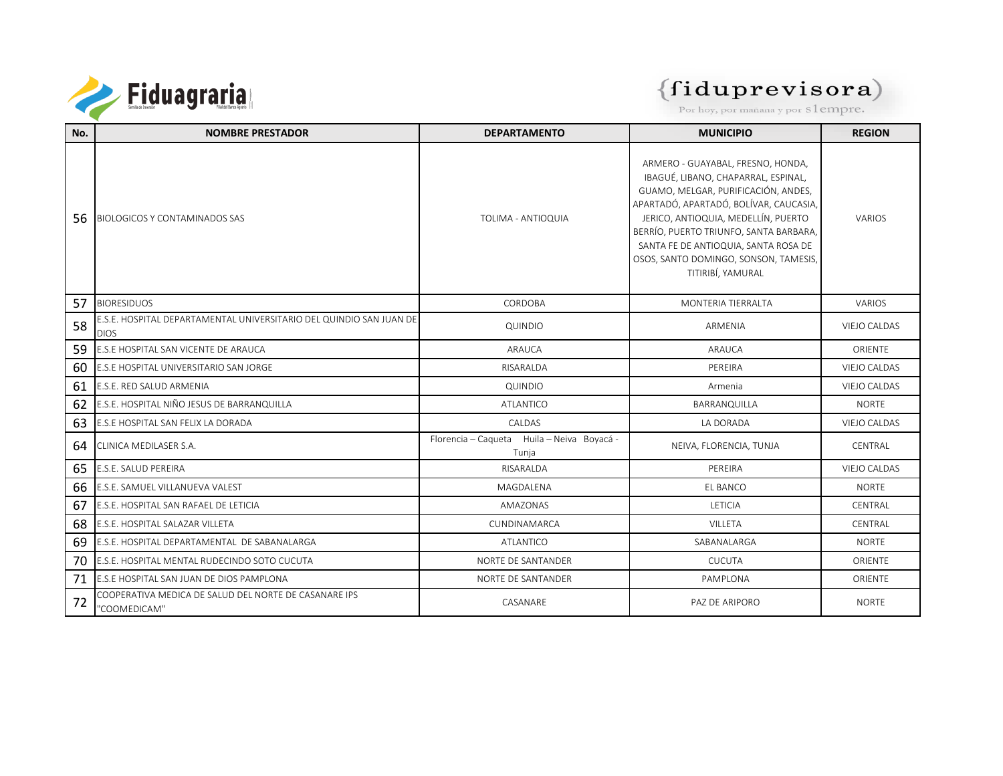

| No. | <b>NOMBRE PRESTADOR</b>                                                            | <b>DEPARTAMENTO</b>                                 | <b>MUNICIPIO</b>                                                                                                                                                                                                                                                                                                                                 | <b>REGION</b>       |
|-----|------------------------------------------------------------------------------------|-----------------------------------------------------|--------------------------------------------------------------------------------------------------------------------------------------------------------------------------------------------------------------------------------------------------------------------------------------------------------------------------------------------------|---------------------|
| 56  | <b>BIOLOGICOS Y CONTAMINADOS SAS</b>                                               | TOLIMA - ANTIOQUIA                                  | ARMERO - GUAYABAL, FRESNO, HONDA,<br>IBAGUÉ, LIBANO, CHAPARRAL, ESPINAL,<br>GUAMO, MELGAR, PURIFICACIÓN, ANDES,<br>APARTADÓ, APARTADÓ, BOLÍVAR, CAUCASIA,<br>JERICO, ANTIOQUIA, MEDELLÍN, PUERTO<br>BERRÍO, PUERTO TRIUNFO, SANTA BARBARA,<br>SANTA FE DE ANTIOQUIA, SANTA ROSA DE<br>OSOS, SANTO DOMINGO, SONSON, TAMESIS,<br>TITIRIBÍ, YAMURAL | VARIOS              |
| 57  | <b>BIORESIDUOS</b>                                                                 | CORDOBA                                             | MONTERIA TIERRALTA                                                                                                                                                                                                                                                                                                                               | <b>VARIOS</b>       |
| 58  | E.S.E. HOSPITAL DEPARTAMENTAL UNIVERSITARIO DEL QUINDIO SAN JUAN DE<br><b>DIOS</b> | QUINDIO                                             | ARMENIA                                                                                                                                                                                                                                                                                                                                          | VIEJO CALDAS        |
| 59  | E.S.E HOSPITAL SAN VICENTE DE ARAUCA                                               | ARAUCA                                              | ARAUCA                                                                                                                                                                                                                                                                                                                                           | ORIENTE             |
| 60  | E.S.E HOSPITAL UNIVERSITARIO SAN JORGE                                             | RISARALDA                                           | PEREIRA                                                                                                                                                                                                                                                                                                                                          | VIEJO CALDAS        |
| 61  | E.S.E. RED SALUD ARMENIA                                                           | QUINDIO                                             | Armenia                                                                                                                                                                                                                                                                                                                                          | VIEJO CALDAS        |
| 62  | E.S.E. HOSPITAL NIÑO JESUS DE BARRANQUILLA                                         | <b>ATLANTICO</b>                                    | BARRANQUILLA                                                                                                                                                                                                                                                                                                                                     | <b>NORTE</b>        |
| 63  | E.S.E HOSPITAL SAN FELIX LA DORADA                                                 | CALDAS                                              | LA DORADA                                                                                                                                                                                                                                                                                                                                        | <b>VIEJO CALDAS</b> |
| 64  | CLINICA MEDILASER S.A.                                                             | Florencia - Cagueta Huila - Neiva Boyacá -<br>Tunja | NEIVA, FLORENCIA, TUNJA                                                                                                                                                                                                                                                                                                                          | CENTRAL             |
| 65  | E.S.E. SALUD PEREIRA                                                               | RISARALDA                                           | PEREIRA                                                                                                                                                                                                                                                                                                                                          | VIEJO CALDAS        |
| 66  | E.S.E. SAMUEL VILLANUEVA VALEST                                                    | MAGDALENA                                           | EL BANCO                                                                                                                                                                                                                                                                                                                                         | <b>NORTF</b>        |
| 67  | E.S.E. HOSPITAL SAN RAFAEL DE LETICIA                                              | AMAZONAS                                            | <b>LETICIA</b>                                                                                                                                                                                                                                                                                                                                   | CENTRAL             |
| 68  | E.S.E. HOSPITAL SALAZAR VILLETA                                                    | CUNDINAMARCA                                        | VILLETA                                                                                                                                                                                                                                                                                                                                          | CENTRAL             |
| 69  | E.S.E. HOSPITAL DEPARTAMENTAL DE SABANALARGA                                       | <b>ATLANTICO</b>                                    | SABANALARGA                                                                                                                                                                                                                                                                                                                                      | <b>NORTE</b>        |
| 70  | E.S.E. HOSPITAL MENTAL RUDECINDO SOTO CUCUTA                                       | NORTE DE SANTANDER                                  | <b>CUCUTA</b>                                                                                                                                                                                                                                                                                                                                    | ORIENTE             |
| 71  | E.S.E HOSPITAL SAN JUAN DE DIOS PAMPLONA                                           | NORTE DE SANTANDER                                  | PAMPLONA                                                                                                                                                                                                                                                                                                                                         | ORIENTE             |
| 72  | COOPERATIVA MEDICA DE SALUD DEL NORTE DE CASANARE IPS<br>"COOMEDICAM"              | CASANARE                                            | PAZ DE ARIPORO                                                                                                                                                                                                                                                                                                                                   | <b>NORTE</b>        |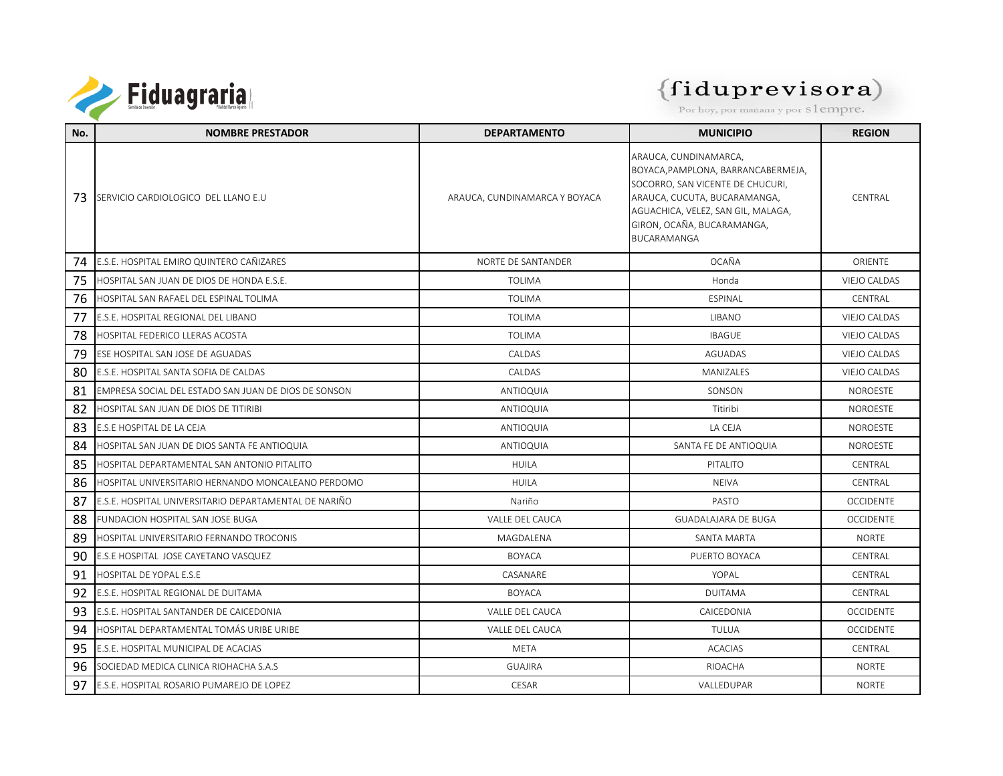

| No. | <b>NOMBRE PRESTADOR</b>                               | <b>DEPARTAMENTO</b>           | <b>MUNICIPIO</b>                                                                                                                                                                                                   | <b>REGION</b>       |
|-----|-------------------------------------------------------|-------------------------------|--------------------------------------------------------------------------------------------------------------------------------------------------------------------------------------------------------------------|---------------------|
| 73. | SERVICIO CARDIOLOGICO DEL LLANO E.U                   | ARAUCA, CUNDINAMARCA Y BOYACA | ARAUCA, CUNDINAMARCA,<br>BOYACA, PAMPLONA, BARRANCABERMEJA,<br>SOCORRO, SAN VICENTE DE CHUCURI,<br>ARAUCA, CUCUTA, BUCARAMANGA,<br>AGUACHICA, VELEZ, SAN GIL, MALAGA,<br>GIRON, OCAÑA, BUCARAMANGA,<br>BUCARAMANGA | CENTRAL             |
| 74  | E.S.E. HOSPITAL EMIRO QUINTERO CAÑIZARES              | NORTE DE SANTANDER            | OCAÑA                                                                                                                                                                                                              | <b>ORIENTE</b>      |
| 75  | HOSPITAL SAN JUAN DE DIOS DE HONDA E.S.E.             | <b>TOLIMA</b>                 | Honda                                                                                                                                                                                                              | <b>VIEJO CALDAS</b> |
| 76  | HOSPITAL SAN RAFAEL DEL ESPINAL TOLIMA                | <b>TOLIMA</b>                 | ESPINAL                                                                                                                                                                                                            | CENTRAL             |
| 77  | E.S.E. HOSPITAL REGIONAL DEL LIBANO                   | <b>TOLIMA</b>                 | <b>LIBANO</b>                                                                                                                                                                                                      | <b>VIEJO CALDAS</b> |
| 78  | HOSPITAL FEDERICO LLERAS ACOSTA                       | <b>TOLIMA</b>                 | <b>IBAGUE</b>                                                                                                                                                                                                      | <b>VIEJO CALDAS</b> |
| 79  | ESE HOSPITAL SAN JOSE DE AGUADAS                      | <b>CALDAS</b>                 | AGUADAS                                                                                                                                                                                                            | VIEJO CALDAS        |
| 80  | E.S.E. HOSPITAL SANTA SOFIA DE CALDAS                 | CALDAS                        | MANIZALES                                                                                                                                                                                                          | <b>VIEJO CALDAS</b> |
| 81  | EMPRESA SOCIAL DEL ESTADO SAN JUAN DE DIOS DE SONSON  | ANTIOQUIA                     | SONSON                                                                                                                                                                                                             | <b>NOROESTE</b>     |
| 82  | HOSPITAL SAN JUAN DE DIOS DE TITIRIBI                 | ANTIOQUIA                     | Titiribi                                                                                                                                                                                                           | <b>NOROESTE</b>     |
| 83  | E.S.E HOSPITAL DE LA CEJA                             | <b>ANTIOQUIA</b>              | LA CEJA                                                                                                                                                                                                            | <b>NOROESTE</b>     |
| 84  | HOSPITAL SAN JUAN DE DIOS SANTA FE ANTIOQUIA          | <b>ANTIOQUIA</b>              | SANTA FE DE ANTIOQUIA                                                                                                                                                                                              | <b>NOROESTE</b>     |
| 85  | HOSPITAL DEPARTAMENTAL SAN ANTONIO PITALITO           | <b>HUILA</b>                  | PITALITO                                                                                                                                                                                                           | CENTRAL             |
| 86  | HOSPITAL UNIVERSITARIO HERNANDO MONCALEANO PERDOMO    | <b>HUILA</b>                  | <b>NEIVA</b>                                                                                                                                                                                                       | CENTRAL             |
| 87  | E.S.E. HOSPITAL UNIVERSITARIO DEPARTAMENTAL DE NARIÑO | Nariño                        | PASTO                                                                                                                                                                                                              | <b>OCCIDENTE</b>    |
| 88  | <b>FUNDACION HOSPITAL SAN JOSE BUGA</b>               | VALLE DEL CAUCA               | <b>GUADALAJARA DE BUGA</b>                                                                                                                                                                                         | <b>OCCIDENTE</b>    |
| 89  | HOSPITAL UNIVERSITARIO FERNANDO TROCONIS              | MAGDALENA                     | SANTA MARTA                                                                                                                                                                                                        | <b>NORTE</b>        |
| 90  | E.S.E HOSPITAL JOSE CAYETANO VASQUEZ                  | <b>BOYACA</b>                 | PUERTO BOYACA                                                                                                                                                                                                      | CENTRAL             |
| 91  | HOSPITAL DE YOPAL E.S.E                               | CASANARF                      | YOPAI                                                                                                                                                                                                              | CENTRAL             |
| 92  | E.S.E. HOSPITAL REGIONAL DE DUITAMA                   | <b>BOYACA</b>                 | <b>DUITAMA</b>                                                                                                                                                                                                     | CENTRAL             |
| 93  | E.S.E. HOSPITAL SANTANDER DE CAICEDONIA               | VALLE DEL CAUCA               | CAICEDONIA                                                                                                                                                                                                         | <b>OCCIDENTE</b>    |
| 94  | HOSPITAL DEPARTAMENTAL TOMÁS URIBE URIBE              | VALLE DEL CAUCA               | TULUA                                                                                                                                                                                                              | <b>OCCIDENTE</b>    |
| 95  | E.S.E. HOSPITAL MUNICIPAL DE ACACIAS                  | <b>META</b>                   | <b>ACACIAS</b>                                                                                                                                                                                                     | CENTRAL             |
| 96  | SOCIEDAD MEDICA CLINICA RIOHACHA S.A.S                | <b>GUAJIRA</b>                | RIOACHA                                                                                                                                                                                                            | <b>NORTF</b>        |
| 97  | E.S.E. HOSPITAL ROSARIO PUMAREJO DE LOPEZ             | CESAR                         | <b>VALLEDUPAR</b>                                                                                                                                                                                                  | <b>NORTF</b>        |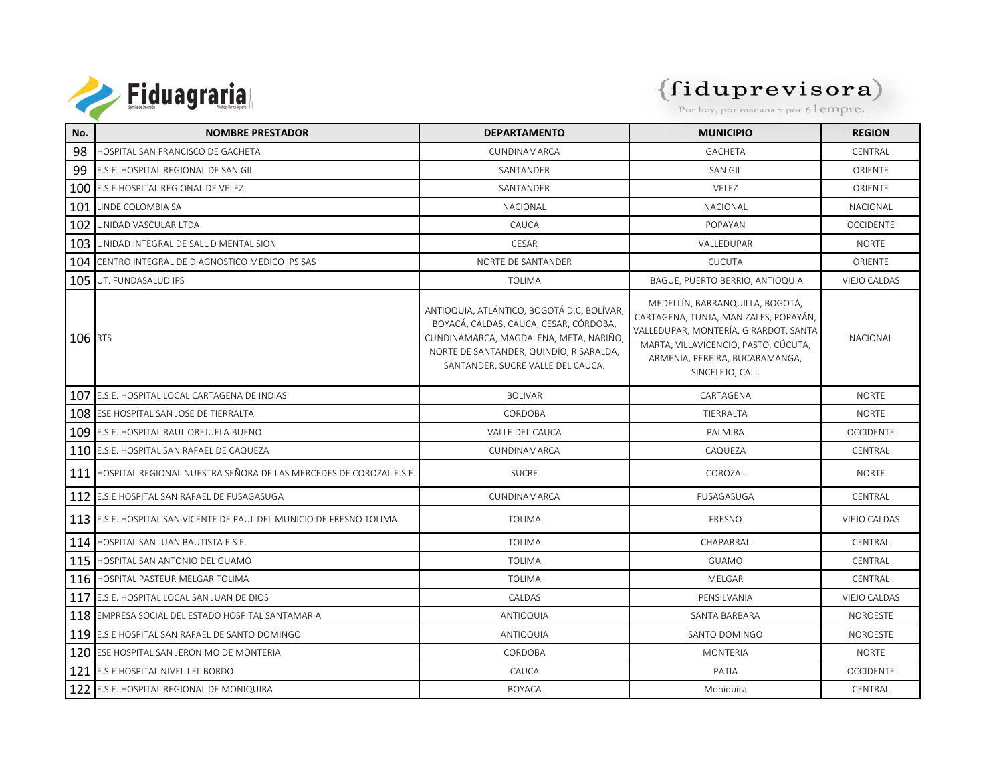

| No.     | <b>NOMBRE PRESTADOR</b>                                                | <b>DEPARTAMENTO</b>                                                                                                                                                                                            | <b>MUNICIPIO</b>                                                                                                                                                                                                | <b>REGION</b>       |
|---------|------------------------------------------------------------------------|----------------------------------------------------------------------------------------------------------------------------------------------------------------------------------------------------------------|-----------------------------------------------------------------------------------------------------------------------------------------------------------------------------------------------------------------|---------------------|
| 98      | HOSPITAL SAN FRANCISCO DE GACHETA                                      | CUNDINAMARCA                                                                                                                                                                                                   | <b>GACHETA</b>                                                                                                                                                                                                  | CENTRAL             |
| 99      | E.S.E. HOSPITAL REGIONAL DE SAN GIL                                    | SANTANDER                                                                                                                                                                                                      | SAN GIL                                                                                                                                                                                                         | ORIENTE             |
|         | 100 E.S.E HOSPITAL REGIONAL DE VELEZ                                   | SANTANDER                                                                                                                                                                                                      | VELEZ                                                                                                                                                                                                           | ORIENTE             |
| 101     | LINDE COLOMBIA SA                                                      | NACIONAL                                                                                                                                                                                                       | NACIONAL                                                                                                                                                                                                        | NACIONAL            |
| 102     | UNIDAD VASCULAR LTDA                                                   | CAUCA                                                                                                                                                                                                          | POPAYAN                                                                                                                                                                                                         | <b>OCCIDENTE</b>    |
|         | 103 UNIDAD INTEGRAL DE SALUD MENTAL SION                               | CESAR                                                                                                                                                                                                          | VALLEDUPAR                                                                                                                                                                                                      | <b>NORTE</b>        |
|         | 104 CENTRO INTEGRAL DE DIAGNOSTICO MEDICO IPS SAS                      | NORTE DE SANTANDER                                                                                                                                                                                             | <b>CUCUTA</b>                                                                                                                                                                                                   | ORIENTE             |
|         | 105 UT. FUNDASALUD IPS                                                 | <b>TOLIMA</b>                                                                                                                                                                                                  | IBAGUE, PUERTO BERRIO, ANTIOQUIA                                                                                                                                                                                | <b>VIEJO CALDAS</b> |
| 106 RTS |                                                                        | ANTIOQUIA, ATLÁNTICO, BOGOTÁ D.C, BOLÍVAR,<br>BOYACÁ, CALDAS, CAUCA, CESAR, CÓRDOBA,<br>CUNDINAMARCA, MAGDALENA, META, NARIÑO,<br>NORTE DE SANTANDER, QUINDÍO, RISARALDA,<br>SANTANDER, SUCRE VALLE DEL CAUCA. | MEDELLÍN, BARRANQUILLA, BOGOTÁ,<br>CARTAGENA, TUNJA, MANIZALES, POPAYÁN,<br>VALLEDUPAR, MONTERÍA, GIRARDOT, SANTA<br>MARTA, VILLAVICENCIO, PASTO, CÚCUTA,<br>ARMENIA, PEREIRA, BUCARAMANGA,<br>SINCELEJO, CALI. | NACIONAL            |
|         | 107 E.S.E. HOSPITAL LOCAL CARTAGENA DE INDIAS                          | <b>BOLIVAR</b>                                                                                                                                                                                                 | CARTAGENA                                                                                                                                                                                                       | <b>NORTE</b>        |
|         | 108 ESE HOSPITAL SAN JOSE DE TIERRALTA                                 | CORDOBA                                                                                                                                                                                                        | TIERRALTA                                                                                                                                                                                                       | <b>NORTE</b>        |
|         | 109 E.S.E. HOSPITAL RAUL OREJUELA BUENO                                | VALLE DEL CAUCA                                                                                                                                                                                                | PALMIRA                                                                                                                                                                                                         | <b>OCCIDENTE</b>    |
|         | 110 E.S.E. HOSPITAL SAN RAFAEL DE CAQUEZA                              | CUNDINAMARCA                                                                                                                                                                                                   | CAQUEZA                                                                                                                                                                                                         | CENTRAL             |
|         | 111 HOSPITAL REGIONAL NUESTRA SEÑORA DE LAS MERCEDES DE COROZAL E.S.E. | <b>SUCRE</b>                                                                                                                                                                                                   | COROZAL                                                                                                                                                                                                         | <b>NORTE</b>        |
|         | 112 E.S.E HOSPITAL SAN RAFAEL DE FUSAGASUGA                            | CUNDINAMARCA                                                                                                                                                                                                   | FUSAGASUGA                                                                                                                                                                                                      | CENTRAL             |
|         | 113 E.S.E. HOSPITAL SAN VICENTE DE PAUL DEL MUNICIO DE FRESNO TOLIMA   | <b>TOLIMA</b>                                                                                                                                                                                                  | FRESNO                                                                                                                                                                                                          | VIEJO CALDAS        |
|         | 114 HOSPITAL SAN JUAN BAUTISTA E.S.E.                                  | <b>TOLIMA</b>                                                                                                                                                                                                  | CHAPARRAL                                                                                                                                                                                                       | CENTRAL             |
| 115     | HOSPITAL SAN ANTONIO DEL GUAMO                                         | <b>TOLIMA</b>                                                                                                                                                                                                  | <b>GUAMO</b>                                                                                                                                                                                                    | CENTRAL             |
| 116     | HOSPITAL PASTEUR MELGAR TOLIMA                                         | <b>TOLIMA</b>                                                                                                                                                                                                  | MELGAR                                                                                                                                                                                                          | CENTRAL             |
|         | 117 E.S.E. HOSPITAL LOCAL SAN JUAN DE DIOS                             | CALDAS                                                                                                                                                                                                         | PENSILVANIA                                                                                                                                                                                                     | VIEJO CALDAS        |
|         | 118 EMPRESA SOCIAL DEL ESTADO HOSPITAL SANTAMARIA                      | ANTIOQUIA                                                                                                                                                                                                      | SANTA BARBARA                                                                                                                                                                                                   | <b>NOROESTE</b>     |
|         | 119 E.S.E HOSPITAL SAN RAFAEL DE SANTO DOMINGO                         | ANTIOQUIA                                                                                                                                                                                                      | SANTO DOMINGO                                                                                                                                                                                                   | <b>NOROESTE</b>     |
|         | 120 ESE HOSPITAL SAN JERONIMO DE MONTERIA                              | CORDOBA                                                                                                                                                                                                        | <b>MONTERIA</b>                                                                                                                                                                                                 | <b>NORTE</b>        |
|         | 121 E.S.E HOSPITAL NIVEL I EL BORDO                                    | CAUCA                                                                                                                                                                                                          | PATIA                                                                                                                                                                                                           | <b>OCCIDENTE</b>    |
|         | 122 E.S.E. HOSPITAL REGIONAL DE MONIQUIRA                              | <b>BOYACA</b>                                                                                                                                                                                                  | Moniquira                                                                                                                                                                                                       | CENTRAL             |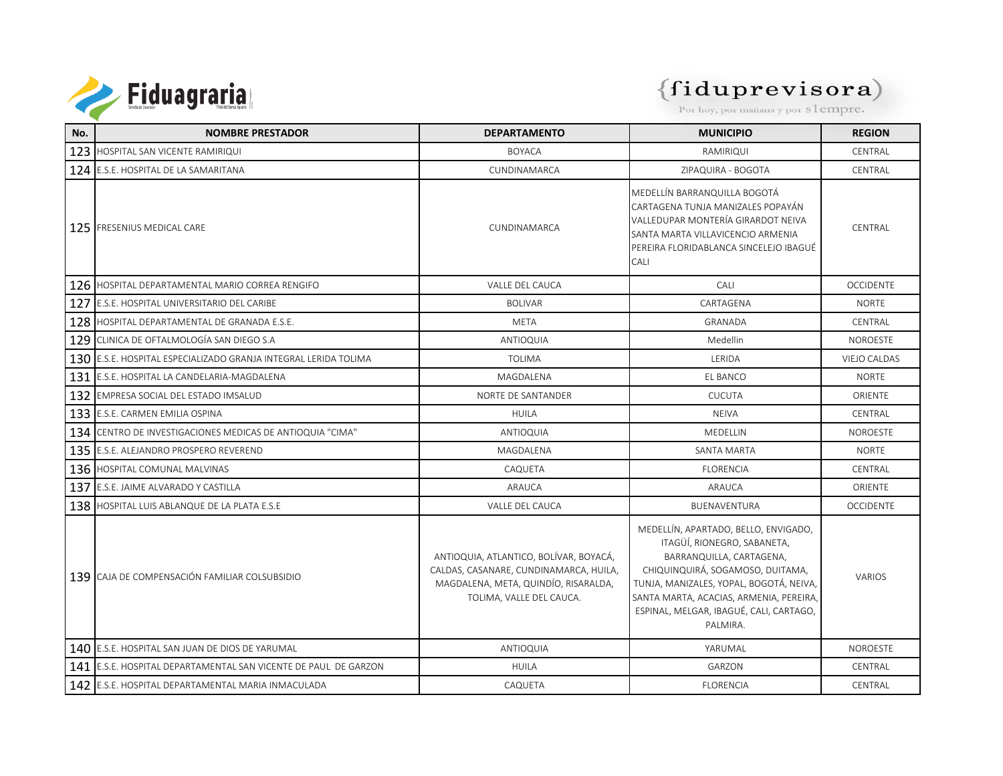

# $\left\{\mathbf{fidup} \mathbf{represent}\ \mathbf{e} \mathbf{visora}\right\}$  Por hoy, por mañana y por s $1$ empre.

| No. | <b>NOMBRE PRESTADOR</b>                                         | <b>DEPARTAMENTO</b>                                                                                                                                  | <b>MUNICIPIO</b>                                                                                                                                                                                                                                                                 | <b>REGION</b>       |
|-----|-----------------------------------------------------------------|------------------------------------------------------------------------------------------------------------------------------------------------------|----------------------------------------------------------------------------------------------------------------------------------------------------------------------------------------------------------------------------------------------------------------------------------|---------------------|
|     | 123 HOSPITAL SAN VICENTE RAMIRIQUI                              | <b>BOYACA</b>                                                                                                                                        | RAMIRIQUI                                                                                                                                                                                                                                                                        | CENTRAL             |
|     | 124 E.S.E. HOSPITAL DE LA SAMARITANA                            | CUNDINAMARCA                                                                                                                                         | ZIPAQUIRA - BOGOTA                                                                                                                                                                                                                                                               | CENTRAL             |
|     | 125 FRESENIUS MEDICAL CARE                                      | CUNDINAMARCA                                                                                                                                         | MEDELLÍN BARRANQUILLA BOGOTÁ<br>CARTAGENA TUNJA MANIZALES POPAYÁN<br>VALLEDUPAR MONTERÍA GIRARDOT NEIVA<br>SANTA MARTA VILLAVICENCIO ARMENIA<br>PEREIRA FLORIDABLANCA SINCELEJO IBAGUÉ<br>CALI                                                                                   | CENTRAL             |
|     | 126 HOSPITAL DEPARTAMENTAL MARIO CORREA RENGIFO                 | VALLE DEL CAUCA                                                                                                                                      | CALI                                                                                                                                                                                                                                                                             | <b>OCCIDENTE</b>    |
|     | 127 E.S.E. HOSPITAL UNIVERSITARIO DEL CARIBE                    | <b>BOLIVAR</b>                                                                                                                                       | CARTAGENA                                                                                                                                                                                                                                                                        | <b>NORTE</b>        |
|     | 128 HOSPITAL DEPARTAMENTAL DE GRANADA E.S.E.                    | <b>META</b>                                                                                                                                          | <b>GRANADA</b>                                                                                                                                                                                                                                                                   | CENTRAL             |
|     | 129 CLINICA DE OFTALMOLOGÍA SAN DIEGO S.A                       | <b>ANTIOQUIA</b>                                                                                                                                     | Medellin                                                                                                                                                                                                                                                                         | <b>NOROESTE</b>     |
|     | 130 E.S.E. HOSPITAL ESPECIALIZADO GRANJA INTEGRAL LERIDA TOLIMA | <b>TOLIMA</b>                                                                                                                                        | LERIDA                                                                                                                                                                                                                                                                           | <b>VIEJO CALDAS</b> |
| 131 | E.S.E. HOSPITAL LA CANDELARIA-MAGDALENA                         | MAGDALENA                                                                                                                                            | EL BANCO                                                                                                                                                                                                                                                                         | <b>NORTE</b>        |
|     | 132 EMPRESA SOCIAL DEL ESTADO IMSALUD                           | NORTE DE SANTANDER                                                                                                                                   | <b>CUCUTA</b>                                                                                                                                                                                                                                                                    | ORIENTE             |
|     | 133 E.S.E. CARMEN EMILIA OSPINA                                 | <b>HUILA</b>                                                                                                                                         | <b>NEIVA</b>                                                                                                                                                                                                                                                                     | CENTRAL             |
|     | 134 CENTRO DE INVESTIGACIONES MEDICAS DE ANTIOQUIA "CIMA"       | ANTIOQUIA                                                                                                                                            | MEDELLIN                                                                                                                                                                                                                                                                         | <b>NOROESTE</b>     |
|     | 135 E.S.E. ALEJANDRO PROSPERO REVEREND                          | MAGDALENA                                                                                                                                            | <b>SANTA MARTA</b>                                                                                                                                                                                                                                                               | <b>NORTE</b>        |
|     | 136 HOSPITAL COMUNAL MALVINAS                                   | CAQUETA                                                                                                                                              | <b>FLORENCIA</b>                                                                                                                                                                                                                                                                 | CENTRAL             |
|     | 137 E.S.E. JAIME ALVARADO Y CASTILLA                            | ARAUCA                                                                                                                                               | ARAUCA                                                                                                                                                                                                                                                                           | ORIENTE             |
|     | 138 HOSPITAL LUIS ABLANQUE DE LA PLATA E.S.E                    | VALLE DEL CAUCA                                                                                                                                      | BUENAVENTURA                                                                                                                                                                                                                                                                     | <b>OCCIDENTE</b>    |
|     | 139 ICAJA DE COMPENSACIÓN FAMILIAR COLSUBSIDIO                  | ANTIOQUIA, ATLANTICO, BOLÍVAR, BOYACÁ,<br>CALDAS, CASANARE, CUNDINAMARCA, HUILA,<br>MAGDALENA, META, QUINDÍO, RISARALDA,<br>TOLIMA, VALLE DEL CAUCA. | MEDELLÍN, APARTADO, BELLO, ENVIGADO,<br>ITAGÜÍ, RIONEGRO, SABANETA,<br>BARRANQUILLA, CARTAGENA,<br>CHIQUINQUIRÁ, SOGAMOSO, DUITAMA,<br>TUNJA, MANIZALES, YOPAL, BOGOTÁ, NEIVA,<br>SANTA MARTA, ACACIAS, ARMENIA, PEREIRA,<br>ESPINAL, MELGAR, IBAGUÉ, CALI, CARTAGO,<br>PALMIRA. | <b>VARIOS</b>       |
|     | 140 E.S.E. HOSPITAL SAN JUAN DE DIOS DE YARUMAL                 | <b>ANTIOQUIA</b>                                                                                                                                     | YARUMAL                                                                                                                                                                                                                                                                          | <b>NOROESTE</b>     |
|     | 141 E.S.E. HOSPITAL DEPARTAMENTAL SAN VICENTE DE PAUL DE GARZON | <b>HUILA</b>                                                                                                                                         | GARZON                                                                                                                                                                                                                                                                           | CENTRAL             |
|     | 142 E.S.E. HOSPITAL DEPARTAMENTAL MARIA INMACULADA              | CAQUETA                                                                                                                                              | <b>FLORENCIA</b>                                                                                                                                                                                                                                                                 | CENTRAI             |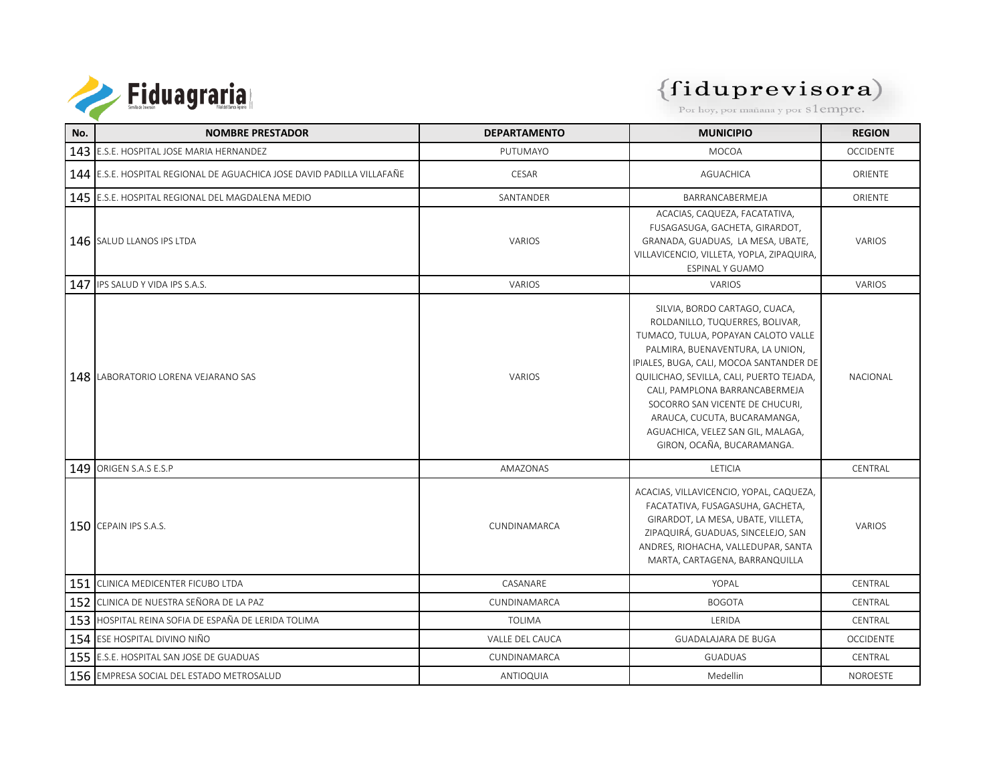

| No. | <b>NOMBRE PRESTADOR</b>                                                | <b>DEPARTAMENTO</b> | <b>MUNICIPIO</b>                                                                                                                                                                                                                                                                                                                                                                                           | <b>REGION</b>    |
|-----|------------------------------------------------------------------------|---------------------|------------------------------------------------------------------------------------------------------------------------------------------------------------------------------------------------------------------------------------------------------------------------------------------------------------------------------------------------------------------------------------------------------------|------------------|
|     | 143 E.S.E. HOSPITAL JOSE MARIA HERNANDEZ                               | PUTUMAYO            | <b>MOCOA</b>                                                                                                                                                                                                                                                                                                                                                                                               | <b>OCCIDENTE</b> |
|     | 144 E.S.E. HOSPITAL REGIONAL DE AGUACHICA JOSE DAVID PADILLA VILLAFAÑE | <b>CESAR</b>        | <b>AGUACHICA</b>                                                                                                                                                                                                                                                                                                                                                                                           | <b>ORIENTE</b>   |
|     | 145 E.S.E. HOSPITAL REGIONAL DEL MAGDALENA MEDIO                       | SANTANDER           | BARRANCABERMEJA                                                                                                                                                                                                                                                                                                                                                                                            | ORIENTE          |
|     | 146 SALUD LLANOS IPS LTDA                                              | VARIOS              | ACACIAS, CAQUEZA, FACATATIVA,<br>FUSAGASUGA, GACHETA, GIRARDOT,<br>GRANADA, GUADUAS, LA MESA, UBATE,<br>VILLAVICENCIO, VILLETA, YOPLA, ZIPAQUIRA,<br>ESPINAL Y GUAMO                                                                                                                                                                                                                                       | VARIOS           |
|     | 147 IPS SALUD Y VIDA IPS S.A.S.                                        | VARIOS              | <b>VARIOS</b>                                                                                                                                                                                                                                                                                                                                                                                              | <b>VARIOS</b>    |
|     | <b>148 LABORATORIO LORENA VEJARANO SAS</b>                             | VARIOS              | SILVIA, BORDO CARTAGO, CUACA,<br>ROLDANILLO, TUQUERRES, BOLIVAR,<br>TUMACO, TULUA, POPAYAN CALOTO VALLE<br>PALMIRA, BUENAVENTURA, LA UNION,<br>IPIALES, BUGA, CALI, MOCOA SANTANDER DE<br>QUILICHAO, SEVILLA, CALI, PUERTO TEJADA,<br>CALI, PAMPLONA BARRANCABERMEJA<br>SOCORRO SAN VICENTE DE CHUCURI,<br>ARAUCA, CUCUTA, BUCARAMANGA,<br>AGUACHICA, VELEZ SAN GIL, MALAGA,<br>GIRON, OCAÑA, BUCARAMANGA. | <b>NACIONAL</b>  |
|     | 149 ORIGEN S.A.S E.S.P                                                 | AMAZONAS            | LETICIA                                                                                                                                                                                                                                                                                                                                                                                                    | CENTRAL          |
|     | 150 CEPAIN IPS S.A.S.                                                  | CUNDINAMARCA        | ACACIAS, VILLAVICENCIO, YOPAL, CAQUEZA,<br>FACATATIVA, FUSAGASUHA, GACHETA,<br>GIRARDOT, LA MESA, UBATE, VILLETA,<br>ZIPAQUIRÁ, GUADUAS, SINCELEJO, SAN<br>ANDRES, RIOHACHA, VALLEDUPAR, SANTA<br>MARTA, CARTAGENA, BARRANQUILLA                                                                                                                                                                           | <b>VARIOS</b>    |
| 151 | <b>CLINICA MEDICENTER FICUBO LTDA</b>                                  | CASANARE            | YOPAL                                                                                                                                                                                                                                                                                                                                                                                                      | CENTRAL          |
| 152 | CLINICA DE NUESTRA SEÑORA DE LA PAZ                                    | CUNDINAMARCA        | <b>BOGOTA</b>                                                                                                                                                                                                                                                                                                                                                                                              | CENTRAL          |
|     | 153 HOSPITAL REINA SOFIA DE ESPAÑA DE LERIDA TOLIMA                    | <b>TOLIMA</b>       | LERIDA                                                                                                                                                                                                                                                                                                                                                                                                     | CENTRAL          |
|     | 154 ESE HOSPITAL DIVINO NIÑO                                           | VALLE DEL CAUCA     | <b>GUADALAJARA DE BUGA</b>                                                                                                                                                                                                                                                                                                                                                                                 | <b>OCCIDENTE</b> |
|     | 155 E.S.E. HOSPITAL SAN JOSE DE GUADUAS                                | CUNDINAMARCA        | <b>GUADUAS</b>                                                                                                                                                                                                                                                                                                                                                                                             | CENTRAL          |
|     | 156 EMPRESA SOCIAL DEL ESTADO METROSALUD                               | ANTIOQUIA           | Medellin                                                                                                                                                                                                                                                                                                                                                                                                   | <b>NOROESTE</b>  |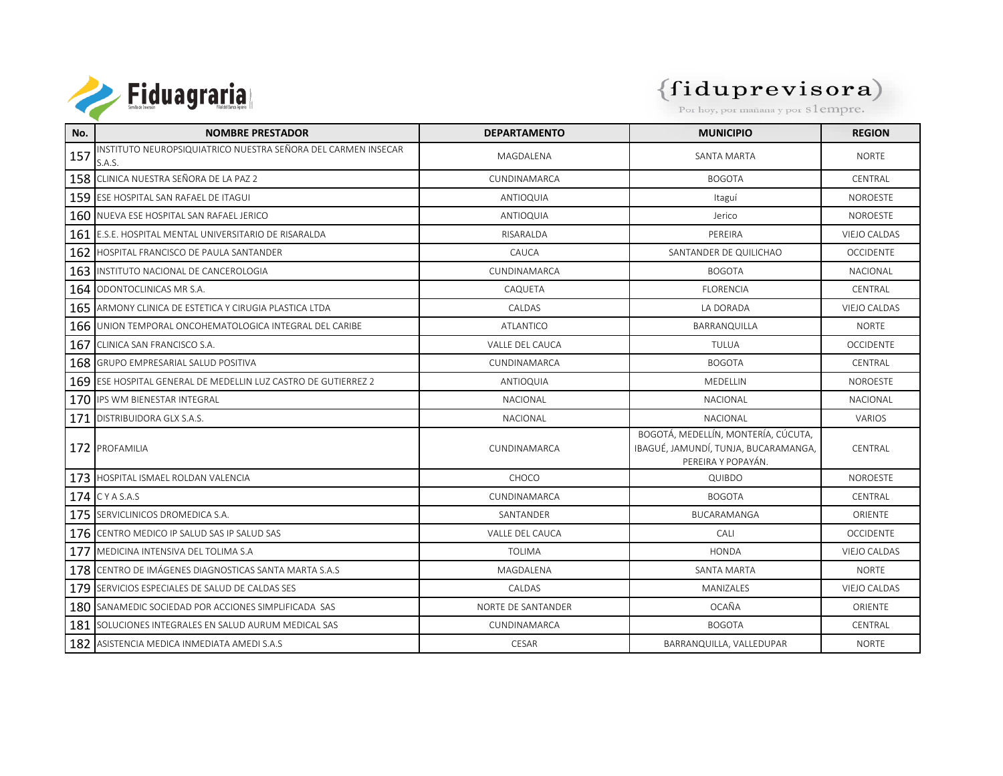

# $\left\{\mathbf{fidup} \mathbf{represent}\ \mathbf{e} \mathbf{visora}\right\}$  Por hoy, por mañana y por s $1$ empre.

| No. | <b>NOMBRE PRESTADOR</b>                                                 | <b>DEPARTAMENTO</b>    | <b>MUNICIPIO</b>                                                                                  | <b>REGION</b>       |
|-----|-------------------------------------------------------------------------|------------------------|---------------------------------------------------------------------------------------------------|---------------------|
| 157 | INSTITUTO NEUROPSIQUIATRICO NUESTRA SEÑORA DEL CARMEN INSECAR<br>S.A.S. | MAGDALENA              | SANTA MARTA                                                                                       | <b>NORTE</b>        |
|     | 158 CLINICA NUESTRA SEÑORA DE LA PAZ 2                                  | CUNDINAMARCA           | <b>BOGOTA</b>                                                                                     | CENTRAL             |
|     | 159 ESE HOSPITAL SAN RAFAEL DE ITAGUI                                   | <b>ANTIOQUIA</b>       | Itaguí                                                                                            | <b>NOROESTE</b>     |
|     | 160 NUEVA ESE HOSPITAL SAN RAFAEL JERICO                                | ANTIOQUIA              | Jerico                                                                                            | NOROESTE            |
|     | 161 E.S.E. HOSPITAL MENTAL UNIVERSITARIO DE RISARALDA                   | RISARALDA              | PEREIRA                                                                                           | <b>VIEJO CALDAS</b> |
| 162 | HOSPITAL FRANCISCO DE PAULA SANTANDER                                   | CAUCA                  | SANTANDER DE QUILICHAO                                                                            | <b>OCCIDENTE</b>    |
|     | 163 INSTITUTO NACIONAL DE CANCEROLOGIA                                  | CUNDINAMARCA           | <b>BOGOTA</b>                                                                                     | <b>NACIONAL</b>     |
|     | 164 ODONTOCLINICAS MR S.A.                                              | CAQUETA                | <b>FLORENCIA</b>                                                                                  | CENTRAI             |
|     | 165 ARMONY CLINICA DE ESTETICA Y CIRUGIA PLASTICA LTDA                  | CALDAS                 | LA DORADA                                                                                         | VIEJO CALDAS        |
|     | 166 JUNION TEMPORAL ONCOHEMATOLOGICA INTEGRAL DEL CARIBE                | <b>ATLANTICO</b>       | BARRANQUILLA                                                                                      | <b>NORTE</b>        |
| 167 | CLINICA SAN FRANCISCO S.A.                                              | VALLE DEL CAUCA        | TULUA                                                                                             | <b>OCCIDENTE</b>    |
|     | 168 GRUPO EMPRESARIAL SALUD POSITIVA                                    | CUNDINAMARCA           | <b>BOGOTA</b>                                                                                     | CENTRAL             |
|     | 169 ESE HOSPITAL GENERAL DE MEDELLIN LUZ CASTRO DE GUTIERREZ 2          | <b>ANTIOQUIA</b>       | MEDELLIN                                                                                          | <b>NOROFSTE</b>     |
|     | 170 IPS WM BIENESTAR INTEGRAL                                           | <b>NACIONAL</b>        | <b>NACIONAL</b>                                                                                   | <b>NACIONAL</b>     |
| 171 | <b>DISTRIBUIDORA GLX S.A.S.</b>                                         | NACIONAL               | <b>NACIONAL</b>                                                                                   | <b>VARIOS</b>       |
|     | 172 PROFAMILIA                                                          | CUNDINAMARCA           | BOGOTÁ, MEDELLÍN, MONTERÍA, CÚCUTA,<br>IBAGUÉ, JAMUNDÍ, TUNJA, BUCARAMANGA,<br>PEREIRA Y POPAYÁN. | CENTRAL             |
|     | 173 HOSPITAL ISMAEL ROLDAN VALENCIA                                     | CHOCO                  | QUIBDO                                                                                            | <b>NOROESTE</b>     |
|     | 174 CYASAS                                                              | CUNDINAMARCA           | <b>BOGOTA</b>                                                                                     | CENTRAL             |
|     | 175 SERVICLINICOS DROMEDICA S.A.                                        | SANTANDER              | BUCARAMANGA                                                                                       | ORIENTE             |
|     | 176 CENTRO MEDICO IP SALUD SAS IP SALUD SAS                             | <b>VALLE DEL CAUCA</b> | CALI                                                                                              | <b>OCCIDENTE</b>    |
| 177 | MEDICINA INTENSIVA DEL TOLIMA S.A.                                      | <b>TOLIMA</b>          | <b>HONDA</b>                                                                                      | <b>VIEJO CALDAS</b> |
|     | 178 CENTRO DE IMÁGENES DIAGNOSTICAS SANTA MARTA S.A.S                   | MAGDALENA              | SANTA MARTA                                                                                       | <b>NORTE</b>        |
|     | 179 SERVICIOS ESPECIALES DE SALUD DE CALDAS SES                         | CALDAS                 | MANIZALES                                                                                         | VIEJO CALDAS        |
|     | 180 SANAMEDIC SOCIEDAD POR ACCIONES SIMPLIFICADA SAS                    | NORTE DE SANTANDER     | OCAÑA                                                                                             | <b>ORIENTE</b>      |
|     | 181 SOLUCIONES INTEGRALES EN SALUD AURUM MEDICAL SAS                    | CUNDINAMARCA           | <b>BOGOTA</b>                                                                                     | CENTRAL             |
|     | 182 ASISTENCIA MEDICA INMEDIATA AMEDI S.A.S                             | CESAR                  | BARRANQUILLA, VALLEDUPAR                                                                          | <b>NORTE</b>        |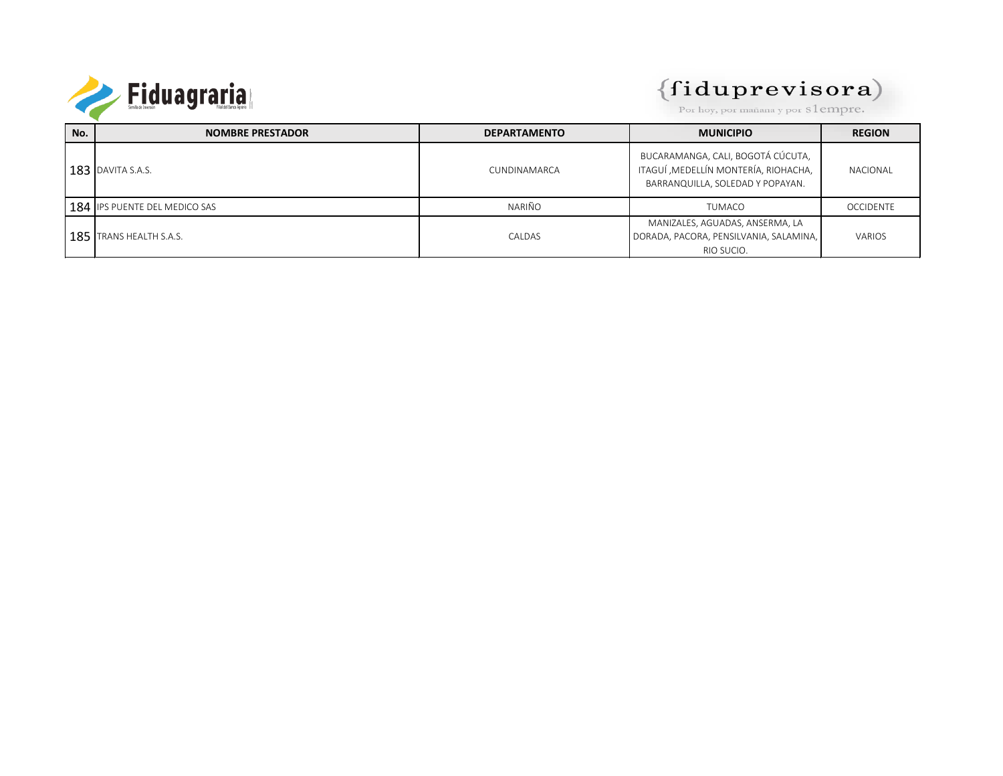

#### $(fiduprevisora)$

Por hoy, por mañana y por S1empre.

| No. | <b>NOMBRE PRESTADOR</b>       | <b>DEPARTAMENTO</b> | <b>MUNICIPIO</b>                                                                                               | <b>REGION</b>    |
|-----|-------------------------------|---------------------|----------------------------------------------------------------------------------------------------------------|------------------|
|     | $183$ DAVITA S.A.S.           | CUNDINAMARCA        | BUCARAMANGA, CALI, BOGOTÁ CÚCUTA,<br>ITAGUÍ , MEDELLÍN MONTERÍA, RIOHACHA,<br>BARRANQUILLA, SOLEDAD Y POPAYAN. | NACIONAL         |
|     | 184 IPS PUENTE DEL MEDICO SAS | <b>NARIÑO</b>       | <b>TUMACO</b>                                                                                                  | <b>OCCIDENTE</b> |
|     | 185 TRANS HEALTH S.A.S.       | CALDAS              | MANIZALES, AGUADAS, ANSERMA, LA<br>DORADA, PACORA, PENSILVANIA, SALAMINA,<br>RIO SUCIO.                        | VARIOS           |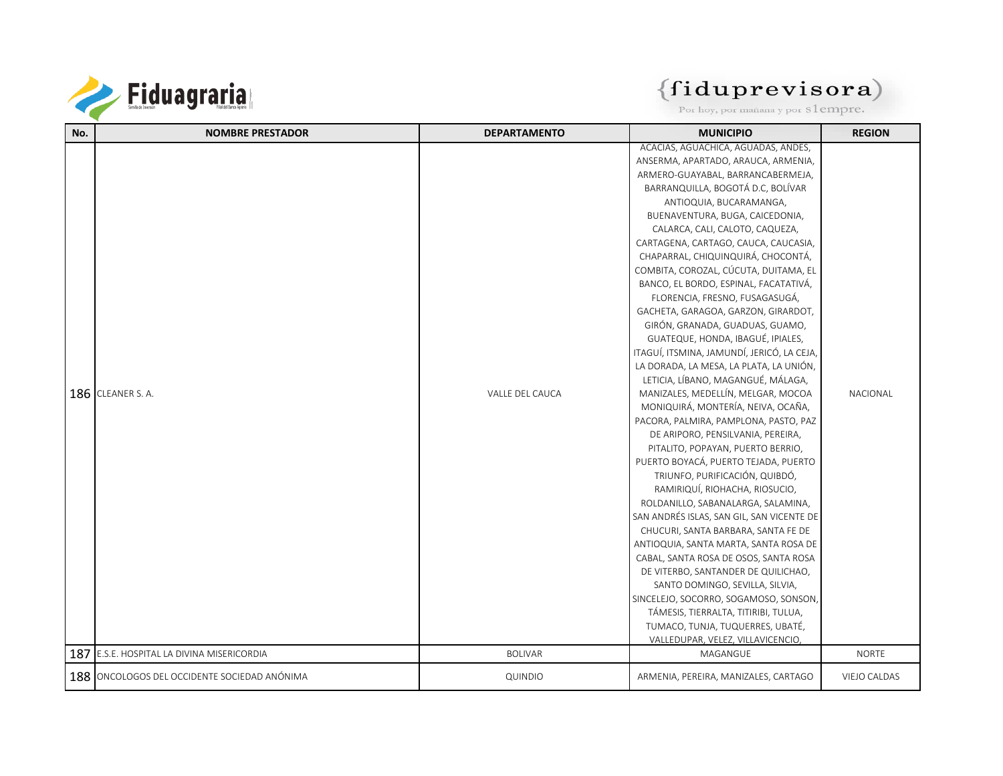

| No. | <b>NOMBRE PRESTADOR</b>                      | <b>DEPARTAMENTO</b> | <b>MUNICIPIO</b>                           | <b>REGION</b> |
|-----|----------------------------------------------|---------------------|--------------------------------------------|---------------|
|     |                                              |                     | ACACIAS, AGUACHICA, AGUADAS, ANDES,        |               |
|     |                                              |                     | ANSERMA, APARTADO, ARAUCA, ARMENIA,        |               |
|     |                                              |                     | ARMERO-GUAYABAL, BARRANCABERMEJA,          |               |
|     |                                              |                     | BARRANQUILLA, BOGOTÁ D.C, BOLÍVAR          |               |
|     |                                              |                     | ANTIOQUIA, BUCARAMANGA,                    |               |
|     |                                              |                     | BUENAVENTURA, BUGA, CAICEDONIA,            |               |
|     |                                              |                     | CALARCA, CALI, CALOTO, CAQUEZA,            |               |
|     |                                              |                     | CARTAGENA, CARTAGO, CAUCA, CAUCASIA,       |               |
|     |                                              |                     | CHAPARRAL, CHIQUINQUIRÁ, CHOCONTÁ,         |               |
|     |                                              |                     | COMBITA, COROZAL, CÚCUTA, DUITAMA, EL      |               |
|     |                                              |                     | BANCO, EL BORDO, ESPINAL, FACATATIVÁ,      |               |
|     |                                              |                     | FLORENCIA, FRESNO, FUSAGASUGÁ,             |               |
|     |                                              |                     | GACHETA, GARAGOA, GARZON, GIRARDOT,        |               |
|     |                                              |                     | GIRÓN, GRANADA, GUADUAS, GUAMO,            |               |
|     |                                              |                     | GUATEQUE, HONDA, IBAGUÉ, IPIALES,          |               |
|     |                                              |                     | ITAGUÍ, ITSMINA, JAMUNDÍ, JERICÓ, LA CEJA, |               |
|     |                                              |                     | LA DORADA, LA MESA, LA PLATA, LA UNIÓN,    |               |
|     |                                              |                     | LETICIA, LÍBANO, MAGANGUÉ, MÁLAGA,         |               |
|     | 186 CLEANER S. A.                            | VALLE DEL CAUCA     | MANIZALES, MEDELLÍN, MELGAR, MOCOA         | NACIONAL      |
|     |                                              |                     | MONIQUIRÁ, MONTERÍA, NEIVA, OCAÑA,         |               |
|     |                                              |                     | PACORA, PALMIRA, PAMPLONA, PASTO, PAZ      |               |
|     |                                              |                     | DE ARIPORO, PENSILVANIA, PEREIRA,          |               |
|     |                                              |                     | PITALITO, POPAYAN, PUERTO BERRIO,          |               |
|     |                                              |                     | PUERTO BOYACÁ, PUERTO TEJADA, PUERTO       |               |
|     |                                              |                     | TRIUNFO, PURIFICACIÓN, QUIBDÓ,             |               |
|     |                                              |                     | RAMIRIQUÍ, RIOHACHA, RIOSUCIO,             |               |
|     |                                              |                     | ROLDANILLO, SABANALARGA, SALAMINA,         |               |
|     |                                              |                     | SAN ANDRÉS ISLAS, SAN GIL, SAN VICENTE DE  |               |
|     |                                              |                     | CHUCURI, SANTA BARBARA, SANTA FE DE        |               |
|     |                                              |                     | ANTIOQUIA, SANTA MARTA, SANTA ROSA DE      |               |
|     |                                              |                     | CABAL, SANTA ROSA DE OSOS, SANTA ROSA      |               |
|     |                                              |                     | DE VITERBO, SANTANDER DE QUILICHAO,        |               |
|     |                                              |                     | SANTO DOMINGO, SEVILLA, SILVIA,            |               |
|     |                                              |                     | SINCELEJO, SOCORRO, SOGAMOSO, SONSON,      |               |
|     |                                              |                     | TÁMESIS, TIERRALTA, TITIRIBI, TULUA,       |               |
|     |                                              |                     | TUMACO, TUNJA, TUQUERRES, UBATÉ,           |               |
|     |                                              |                     | VALLEDUPAR, VELEZ, VILLAVICENCIO,          |               |
| 187 | E.S.E. HOSPITAL LA DIVINA MISERICORDIA       | <b>BOLIVAR</b>      | MAGANGUE                                   | <b>NORTE</b>  |
|     | 188 ONCOLOGOS DEL OCCIDENTE SOCIEDAD ANÓNIMA | QUINDIO             | ARMENIA, PEREIRA, MANIZALES, CARTAGO       | VIEJO CALDAS  |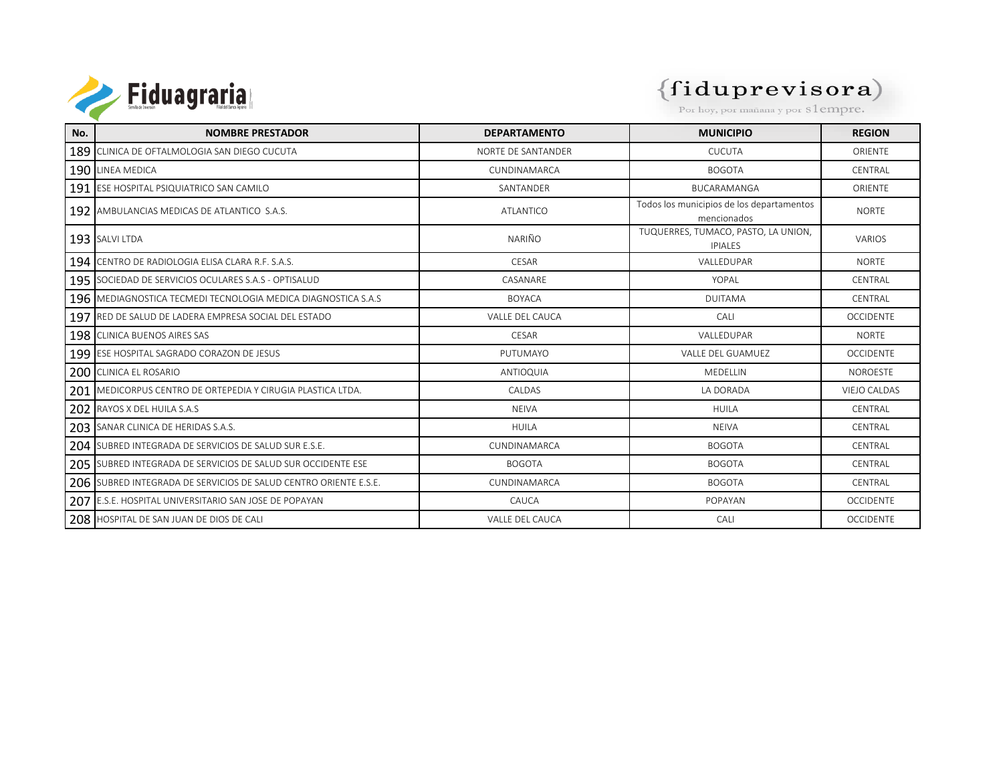

| No. | <b>NOMBRE PRESTADOR</b>                                               | <b>DEPARTAMENTO</b> | <b>MUNICIPIO</b>                                         | <b>REGION</b>       |
|-----|-----------------------------------------------------------------------|---------------------|----------------------------------------------------------|---------------------|
|     | 189 CLINICA DE OFTALMOLOGIA SAN DIEGO CUCUTA                          | NORTE DE SANTANDER  | <b>CUCUTA</b>                                            | ORIENTE             |
|     | 190 LINEA MEDICA                                                      | CUNDINAMARCA        | <b>BOGOTA</b>                                            | CENTRAL             |
|     | 191 ESE HOSPITAL PSIQUIATRICO SAN CAMILO                              | SANTANDER           | BUCARAMANGA                                              | ORIENTE             |
|     | 192 AMBULANCIAS MEDICAS DE ATLANTICO S.A.S.                           | <b>ATLANTICO</b>    | Todos los municipios de los departamentos<br>mencionados | <b>NORTE</b>        |
|     | 193 SALVI LTDA                                                        | <b>NARIÑO</b>       | TUQUERRES, TUMACO, PASTO, LA UNION,<br><b>IPIALES</b>    | <b>VARIOS</b>       |
|     | 194 CENTRO DE RADIOLOGIA ELISA CLARA R.F. S.A.S.                      | CESAR               | VALLEDUPAR                                               | <b>NORTE</b>        |
|     | 195 SOCIEDAD DE SERVICIOS OCULARES S.A.S - OPTISALUD                  | CASANARE            | YOPAL                                                    | CENTRAL             |
|     | <b>196 IMEDIAGNOSTICA TECMEDI TECNOLOGIA MEDICA DIAGNOSTICA S.A.S</b> | <b>BOYACA</b>       | <b>DUITAMA</b>                                           | <b>CFNTRAI</b>      |
|     | 197 RED DE SALUD DE LADERA EMPRESA SOCIAL DEL ESTADO                  | VALLE DEL CAUCA     | CALI                                                     | <b>OCCIDENTE</b>    |
|     | 198 CLINICA BUENOS AIRES SAS                                          | CESAR               | VALLEDUPAR                                               | <b>NORTE</b>        |
|     | 199 ESE HOSPITAL SAGRADO CORAZON DE JESUS                             | PUTUMAYO            | <b>VALLE DEL GUAMUEZ</b>                                 | <b>OCCIDENTE</b>    |
|     | 200 CLINICA EL ROSARIO                                                | ANTIOQUIA           | <b>MEDELLIN</b>                                          | <b>NOROESTE</b>     |
|     | 201 MEDICORPUS CENTRO DE ORTEPEDIA Y CIRUGIA PLASTICA LTDA.           | CALDAS              | LA DORADA                                                | <b>VIEJO CALDAS</b> |
|     | 202 RAYOS X DEL HUILA S.A.S                                           | <b>NEIVA</b>        | <b>HUILA</b>                                             | CENTRAL             |
|     | 203 SANAR CLINICA DE HERIDAS S.A.S.                                   | <b>HUILA</b>        | <b>NEIVA</b>                                             | <b>CFNTRAI</b>      |
|     | 204 SUBRED INTEGRADA DE SERVICIOS DE SALUD SUR E.S.E.                 | CUNDINAMARCA        | <b>BOGOTA</b>                                            | CENTRAL             |
|     | 205 SUBRED INTEGRADA DE SERVICIOS DE SALUD SUR OCCIDENTE ESE          | <b>BOGOTA</b>       | <b>BOGOTA</b>                                            | CENTRAL             |
|     | 206 SUBRED INTEGRADA DE SERVICIOS DE SALUD CENTRO ORIENTE E.S.E.      | CUNDINAMARCA        | <b>BOGOTA</b>                                            | CENTRAL             |
|     | 207 E.S.E. HOSPITAL UNIVERSITARIO SAN JOSE DE POPAYAN                 | CAUCA               | POPAYAN                                                  | <b>OCCIDENTE</b>    |
|     | 208 HOSPITAL DE SAN JUAN DE DIOS DE CALI                              | VALLE DEL CAUCA     | CALI                                                     | <b>OCCIDENTE</b>    |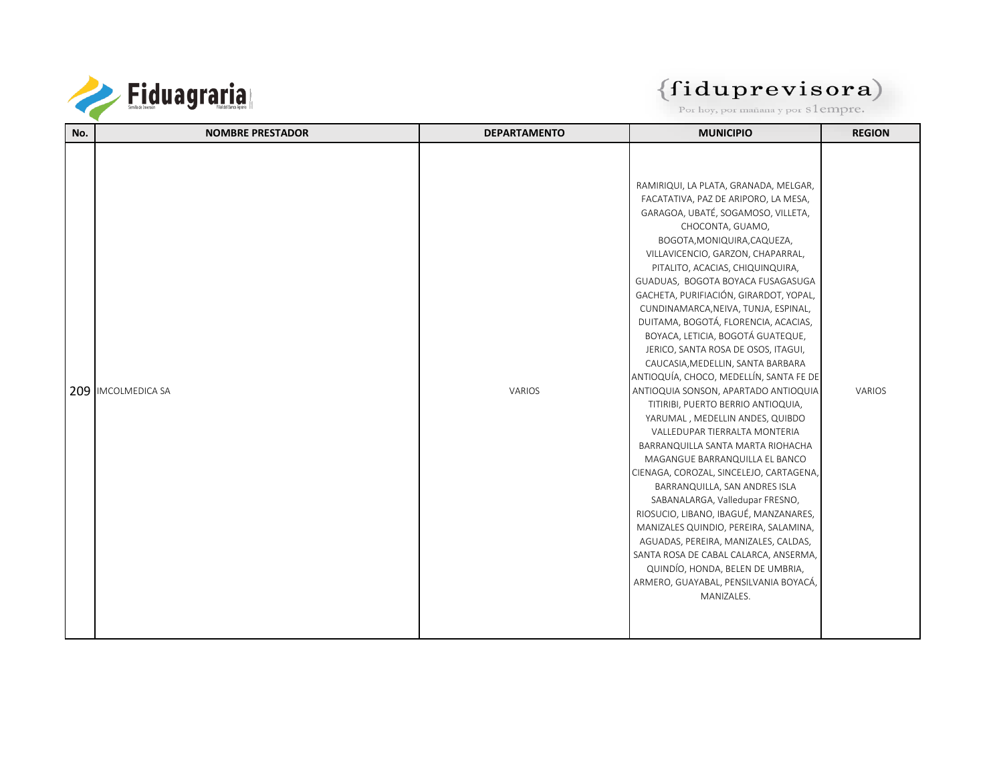

| No.<br><b>NOMBRE PRESTADOR</b><br><b>DEPARTAMENTO</b> | <b>MUNICIPIO</b>                                                      | <b>REGION</b> |
|-------------------------------------------------------|-----------------------------------------------------------------------|---------------|
|                                                       |                                                                       |               |
|                                                       |                                                                       |               |
|                                                       | RAMIRIQUI, LA PLATA, GRANADA, MELGAR,                                 |               |
|                                                       | FACATATIVA, PAZ DE ARIPORO, LA MESA,                                  |               |
|                                                       | GARAGOA, UBATÉ, SOGAMOSO, VILLETA,                                    |               |
|                                                       | CHOCONTA, GUAMO,                                                      |               |
|                                                       | BOGOTA, MONIQUIRA, CAQUEZA,                                           |               |
|                                                       | VILLAVICENCIO, GARZON, CHAPARRAL,                                     |               |
|                                                       | PITALITO, ACACIAS, CHIQUINQUIRA,                                      |               |
|                                                       | GUADUAS, BOGOTA BOYACA FUSAGASUGA                                     |               |
|                                                       | GACHETA, PURIFIACIÓN, GIRARDOT, YOPAL,                                |               |
|                                                       | CUNDINAMARCA, NEIVA, TUNJA, ESPINAL,                                  |               |
|                                                       | DUITAMA, BOGOTÁ, FLORENCIA, ACACIAS,                                  |               |
|                                                       | BOYACA, LETICIA, BOGOTÁ GUATEQUE,                                     |               |
|                                                       | JERICO, SANTA ROSA DE OSOS, ITAGUI,                                   |               |
|                                                       | CAUCASIA, MEDELLIN, SANTA BARBARA                                     |               |
|                                                       | ANTIOQUÍA, CHOCO, MEDELLÍN, SANTA FE DE                               |               |
| 209 IMCOLMEDICA SA<br>VARIOS                          | ANTIOQUIA SONSON, APARTADO ANTIOQUIA                                  | VARIOS        |
|                                                       | TITIRIBI, PUERTO BERRIO ANTIOQUIA,<br>YARUMAL, MEDELLIN ANDES, QUIBDO |               |
|                                                       | VALLEDUPAR TIERRALTA MONTERIA                                         |               |
|                                                       | BARRANQUILLA SANTA MARTA RIOHACHA                                     |               |
|                                                       | MAGANGUE BARRANQUILLA EL BANCO                                        |               |
|                                                       | CIENAGA, COROZAL, SINCELEJO, CARTAGENA,                               |               |
|                                                       | BARRANQUILLA, SAN ANDRES ISLA                                         |               |
|                                                       | SABANALARGA, Valledupar FRESNO,                                       |               |
|                                                       | RIOSUCIO, LIBANO, IBAGUÉ, MANZANARES,                                 |               |
|                                                       | MANIZALES QUINDIO, PEREIRA, SALAMINA,                                 |               |
|                                                       | AGUADAS, PEREIRA, MANIZALES, CALDAS,                                  |               |
|                                                       | SANTA ROSA DE CABAL CALARCA, ANSERMA,                                 |               |
|                                                       | QUINDÍO, HONDA, BELEN DE UMBRIA,                                      |               |
|                                                       | ARMERO, GUAYABAL, PENSILVANIA BOYACÁ,                                 |               |
|                                                       | MANIZALES.                                                            |               |
|                                                       |                                                                       |               |
|                                                       |                                                                       |               |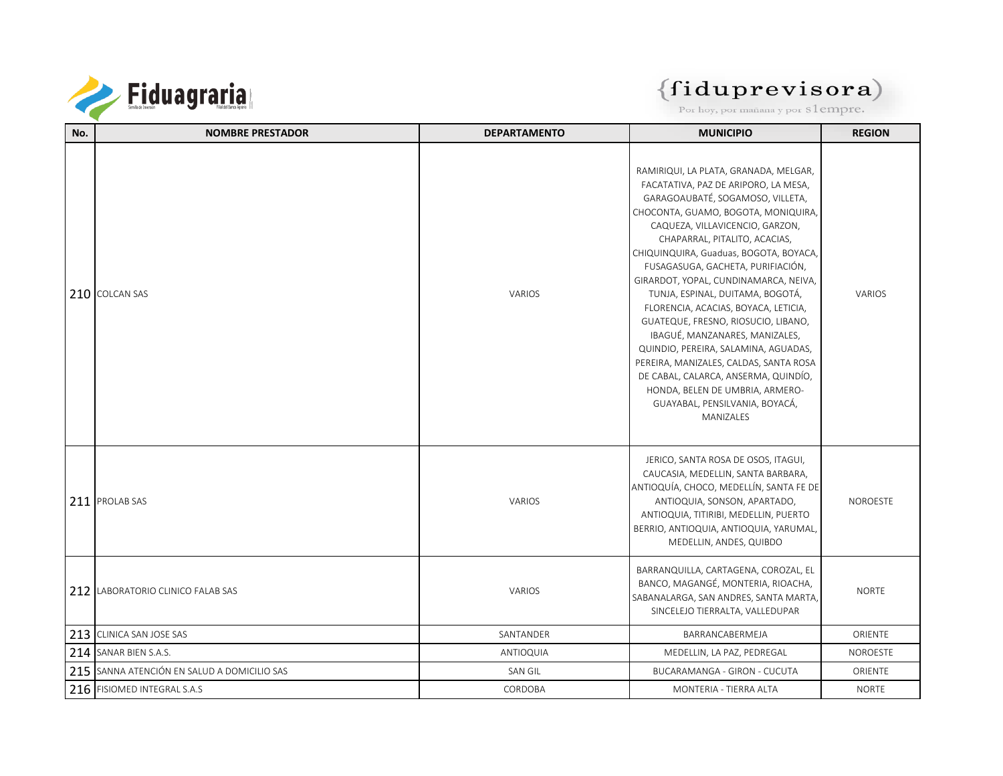

| No. | <b>NOMBRE PRESTADOR</b>                     | <b>DEPARTAMENTO</b> | <b>MUNICIPIO</b>                                                                                                                                                                                                                                                                                                                                                                                                                                                                                                                                                                                                                                                                                                      | <b>REGION</b> |
|-----|---------------------------------------------|---------------------|-----------------------------------------------------------------------------------------------------------------------------------------------------------------------------------------------------------------------------------------------------------------------------------------------------------------------------------------------------------------------------------------------------------------------------------------------------------------------------------------------------------------------------------------------------------------------------------------------------------------------------------------------------------------------------------------------------------------------|---------------|
|     | 210 COLCAN SAS                              | VARIOS              | RAMIRIQUI, LA PLATA, GRANADA, MELGAR,<br>FACATATIVA, PAZ DE ARIPORO, LA MESA,<br>GARAGOAUBATÉ, SOGAMOSO, VILLETA,<br>CHOCONTA, GUAMO, BOGOTA, MONIQUIRA,<br>CAQUEZA, VILLAVICENCIO, GARZON,<br>CHAPARRAL, PITALITO, ACACIAS,<br>CHIQUINQUIRA, Guaduas, BOGOTA, BOYACA,<br>FUSAGASUGA, GACHETA, PURIFIACIÓN,<br>GIRARDOT, YOPAL, CUNDINAMARCA, NEIVA,<br>TUNJA, ESPINAL, DUITAMA, BOGOTÁ,<br>FLORENCIA, ACACIAS, BOYACA, LETICIA,<br>GUATEQUE, FRESNO, RIOSUCIO, LIBANO,<br>IBAGUÉ, MANZANARES, MANIZALES,<br>QUINDIO, PEREIRA, SALAMINA, AGUADAS,<br>PEREIRA, MANIZALES, CALDAS, SANTA ROSA<br>DE CABAL, CALARCA, ANSERMA, QUINDÍO,<br>HONDA, BELEN DE UMBRIA, ARMERO-<br>GUAYABAL, PENSILVANIA, BOYACÁ,<br>MANIZALES | VARIOS        |
|     | 211 PROLAB SAS                              | VARIOS              | JERICO, SANTA ROSA DE OSOS, ITAGUI,<br>CAUCASIA, MEDELLIN, SANTA BARBARA,<br>ANTIOQUÍA, CHOCO, MEDELLÍN, SANTA FE DE<br>ANTIOQUIA, SONSON, APARTADO,<br>ANTIOQUIA, TITIRIBI, MEDELLIN, PUERTO<br>BERRIO, ANTIOQUIA, ANTIOQUIA, YARUMAL,<br>MEDELLIN, ANDES, QUIBDO                                                                                                                                                                                                                                                                                                                                                                                                                                                    | NOROESTE      |
|     | 212 LABORATORIO CLINICO FALAB SAS           | VARIOS              | BARRANQUILLA, CARTAGENA, COROZAL, EL<br>BANCO, MAGANGÉ, MONTERIA, RIOACHA,<br>SABANALARGA, SAN ANDRES, SANTA MARTA,<br>SINCELEJO TIERRALTA, VALLEDUPAR                                                                                                                                                                                                                                                                                                                                                                                                                                                                                                                                                                | <b>NORTE</b>  |
|     | 213 CLINICA SAN JOSE SAS                    | SANTANDER           | BARRANCABERMEJA                                                                                                                                                                                                                                                                                                                                                                                                                                                                                                                                                                                                                                                                                                       | ORIENTE       |
|     | 214 SANAR BIEN S.A.S.                       | ANTIOQUIA           | MEDELLIN, LA PAZ, PEDREGAL                                                                                                                                                                                                                                                                                                                                                                                                                                                                                                                                                                                                                                                                                            | NOROESTE      |
|     | 215 SANNA ATENCIÓN EN SALUD A DOMICILIO SAS | SAN GIL             | BUCARAMANGA - GIRON - CUCUTA                                                                                                                                                                                                                                                                                                                                                                                                                                                                                                                                                                                                                                                                                          | ORIENTE       |
|     | 216 FISIOMED INTEGRAL S.A.S                 | CORDOBA             | MONTERIA - TIERRA ALTA                                                                                                                                                                                                                                                                                                                                                                                                                                                                                                                                                                                                                                                                                                | <b>NORTE</b>  |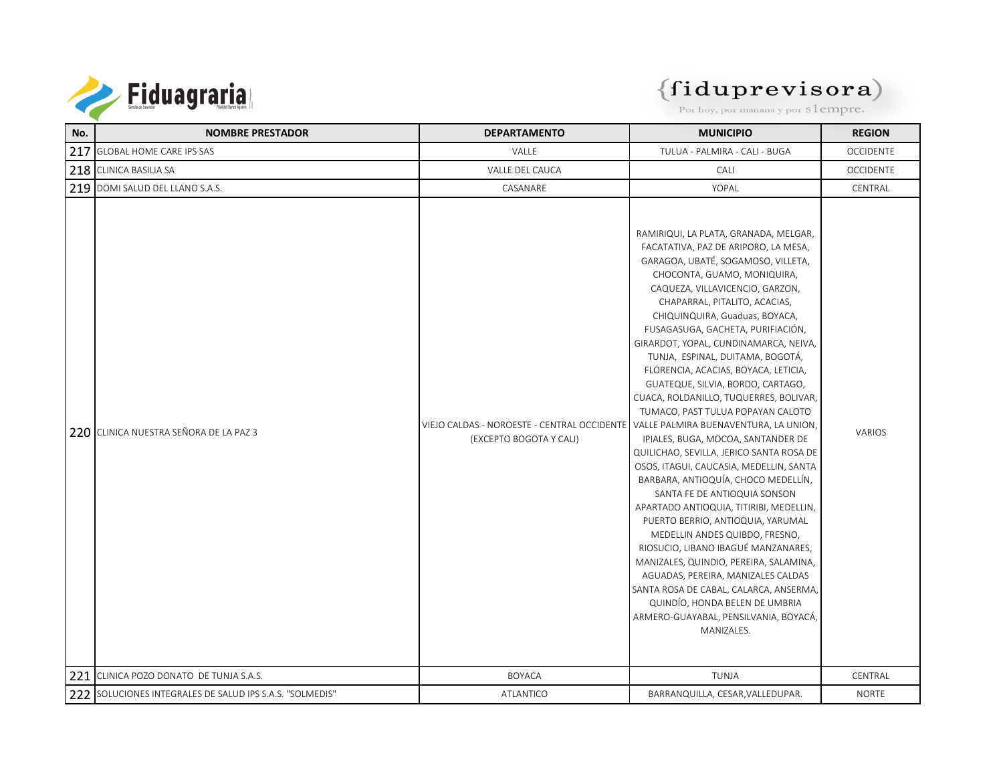

#### $(fiduprevisora)$

Por hoy, por mañana y por S1empre.

| No. | <b>NOMBRE PRESTADOR</b>                                  | <b>DEPARTAMENTO</b>                                                                                            | <b>MUNICIPIO</b>                                                                                                                                                                                                                                                                                                                                                                                                                                                                                                                                                                                                                                                                                                                                                                                                                                                                                                                                                                                                                                                                                                       | <b>REGION</b>    |
|-----|----------------------------------------------------------|----------------------------------------------------------------------------------------------------------------|------------------------------------------------------------------------------------------------------------------------------------------------------------------------------------------------------------------------------------------------------------------------------------------------------------------------------------------------------------------------------------------------------------------------------------------------------------------------------------------------------------------------------------------------------------------------------------------------------------------------------------------------------------------------------------------------------------------------------------------------------------------------------------------------------------------------------------------------------------------------------------------------------------------------------------------------------------------------------------------------------------------------------------------------------------------------------------------------------------------------|------------------|
| 217 | <b>GLOBAL HOME CARE IPS SAS</b>                          | VALLE                                                                                                          | TULUA - PALMIRA - CALI - BUGA                                                                                                                                                                                                                                                                                                                                                                                                                                                                                                                                                                                                                                                                                                                                                                                                                                                                                                                                                                                                                                                                                          | <b>OCCIDENTE</b> |
|     | 218 CLINICA BASILIA SA                                   | VALLE DEL CAUCA                                                                                                | CALI                                                                                                                                                                                                                                                                                                                                                                                                                                                                                                                                                                                                                                                                                                                                                                                                                                                                                                                                                                                                                                                                                                                   | <b>OCCIDENTE</b> |
|     | 219 DOMI SALUD DEL LLANO S.A.S.                          | CASANARE                                                                                                       | YOPAL                                                                                                                                                                                                                                                                                                                                                                                                                                                                                                                                                                                                                                                                                                                                                                                                                                                                                                                                                                                                                                                                                                                  | CENTRAL          |
|     | 220 CLINICA NUESTRA SEÑORA DE LA PAZ 3                   | VIEJO CALDAS - NOROESTE - CENTRAL OCCIDENTE   VALLE PALMIRA BUENAVENTURA, LA UNION,<br>(EXCEPTO BOGOTA Y CALI) | RAMIRIQUI, LA PLATA, GRANADA, MELGAR,<br>FACATATIVA, PAZ DE ARIPORO, LA MESA,<br>GARAGOA, UBATÉ, SOGAMOSO, VILLETA,<br>CHOCONTA, GUAMO, MONIQUIRA,<br>CAQUEZA, VILLAVICENCIO, GARZON,<br>CHAPARRAL, PITALITO, ACACIAS,<br>CHIQUINQUIRA, Guaduas, BOYACA,<br>FUSAGASUGA, GACHETA, PURIFIACIÓN,<br>GIRARDOT, YOPAL, CUNDINAMARCA, NEIVA,<br>TUNJA, ESPINAL, DUITAMA, BOGOTÁ,<br>FLORENCIA, ACACIAS, BOYACA, LETICIA,<br>GUATEQUE, SILVIA, BORDO, CARTAGO,<br>CUACA, ROLDANILLO, TUQUERRES, BOLIVAR,<br>TUMACO, PAST TULUA POPAYAN CALOTO<br>IPIALES, BUGA, MOCOA, SANTANDER DE<br>QUILICHAO, SEVILLA, JERICO SANTA ROSA DE<br>OSOS, ITAGUI, CAUCASIA, MEDELLIN, SANTA<br>BARBARA, ANTIOQUÍA, CHOCO MEDELLÍN,<br>SANTA FE DE ANTIOQUIA SONSON<br>APARTADO ANTIOQUIA, TITIRIBI, MEDELLIN,<br>PUERTO BERRIO, ANTIOQUIA, YARUMAL<br>MEDELLIN ANDES QUIBDO, FRESNO,<br>RIOSUCIO, LIBANO IBAGUÉ MANZANARES,<br>MANIZALES, QUINDIO, PEREIRA, SALAMINA,<br>AGUADAS, PEREIRA, MANIZALES CALDAS<br>SANTA ROSA DE CABAL, CALARCA, ANSERMA,<br>QUINDÍO, HONDA BELEN DE UMBRIA<br>ARMERO-GUAYABAL, PENSILVANIA, BOYACÁ,<br>MANIZALES. | <b>VARIOS</b>    |
|     | 221 CLINICA POZO DONATO DE TUNJA S.A.S.                  | <b>BOYACA</b>                                                                                                  | <b>TUNJA</b>                                                                                                                                                                                                                                                                                                                                                                                                                                                                                                                                                                                                                                                                                                                                                                                                                                                                                                                                                                                                                                                                                                           | CENTRAL          |
|     | 222 SOLUCIONES INTEGRALES DE SALUD IPS S.A.S. "SOLMEDIS" | ATLANTICO                                                                                                      | BARRANQUILLA, CESAR, VALLEDUPAR.                                                                                                                                                                                                                                                                                                                                                                                                                                                                                                                                                                                                                                                                                                                                                                                                                                                                                                                                                                                                                                                                                       | <b>NORTE</b>     |